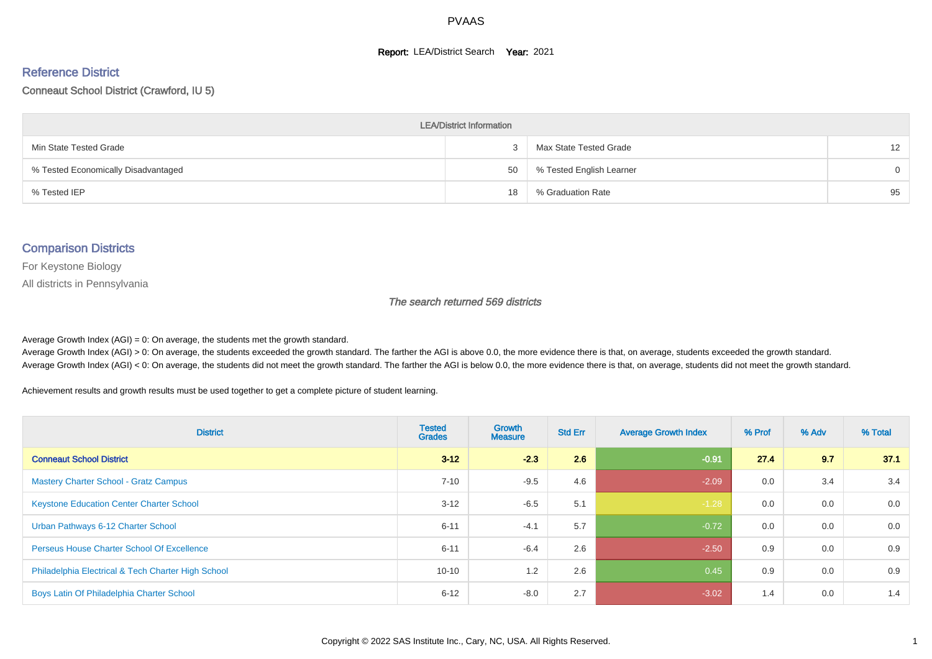#### **Report: LEA/District Search Year: 2021**

#### Reference District

#### Conneaut School District (Crawford, IU 5)

| <b>LEA/District Information</b>     |    |                          |                   |  |  |  |  |  |  |  |
|-------------------------------------|----|--------------------------|-------------------|--|--|--|--|--|--|--|
| Min State Tested Grade              | 3  | Max State Tested Grade   | $12 \overline{ }$ |  |  |  |  |  |  |  |
| % Tested Economically Disadvantaged | 50 | % Tested English Learner | $\Omega$          |  |  |  |  |  |  |  |
| % Tested IEP                        | 18 | % Graduation Rate        | 95                |  |  |  |  |  |  |  |

#### Comparison Districts

For Keystone Biology

All districts in Pennsylvania

The search returned 569 districts

Average Growth Index  $(AGI) = 0$ : On average, the students met the growth standard.

Average Growth Index (AGI) > 0: On average, the students exceeded the growth standard. The farther the AGI is above 0.0, the more evidence there is that, on average, students exceeded the growth standard. Average Growth Index (AGI) < 0: On average, the students did not meet the growth standard. The farther the AGI is below 0.0, the more evidence there is that, on average, students did not meet the growth standard.

Achievement results and growth results must be used together to get a complete picture of student learning.

| <b>District</b>                                    | <b>Tested</b><br><b>Grades</b> | <b>Growth</b><br><b>Measure</b> | <b>Std Err</b> | <b>Average Growth Index</b> | % Prof | % Adv | % Total |
|----------------------------------------------------|--------------------------------|---------------------------------|----------------|-----------------------------|--------|-------|---------|
| <b>Conneaut School District</b>                    | $3 - 12$                       | $-2.3$                          | 2.6            | $-0.91$                     | 27.4   | 9.7   | 37.1    |
| <b>Mastery Charter School - Gratz Campus</b>       | $7 - 10$                       | $-9.5$                          | 4.6            | $-2.09$                     | 0.0    | 3.4   | 3.4     |
| <b>Keystone Education Center Charter School</b>    | $3 - 12$                       | $-6.5$                          | 5.1            | $-1.28$                     | 0.0    | 0.0   | 0.0     |
| Urban Pathways 6-12 Charter School                 | $6 - 11$                       | $-4.1$                          | 5.7            | $-0.72$                     | 0.0    | 0.0   | 0.0     |
| Perseus House Charter School Of Excellence         | $6 - 11$                       | $-6.4$                          | 2.6            | $-2.50$                     | 0.9    | 0.0   | 0.9     |
| Philadelphia Electrical & Tech Charter High School | $10 - 10$                      | 1.2                             | 2.6            | 0.45                        | 0.9    | 0.0   | 0.9     |
| Boys Latin Of Philadelphia Charter School          | $6 - 12$                       | $-8.0$                          | 2.7            | $-3.02$                     | 1.4    | 0.0   | 1.4     |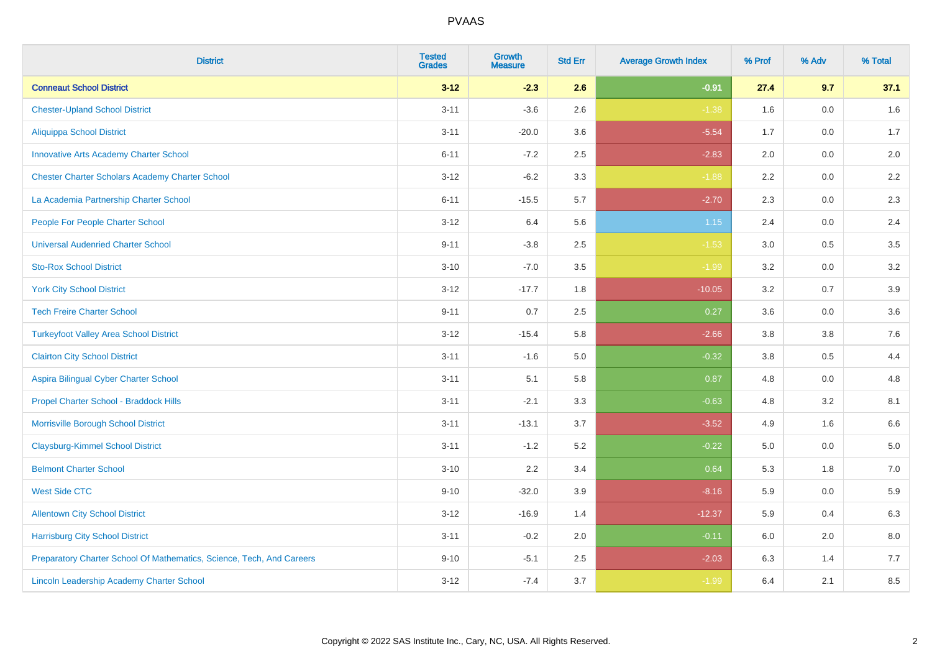| <b>District</b>                                                       | <b>Tested</b><br><b>Grades</b> | <b>Growth</b><br><b>Measure</b> | <b>Std Err</b> | <b>Average Growth Index</b> | % Prof | % Adv   | % Total |
|-----------------------------------------------------------------------|--------------------------------|---------------------------------|----------------|-----------------------------|--------|---------|---------|
| <b>Conneaut School District</b>                                       | $3 - 12$                       | $-2.3$                          | 2.6            | $-0.91$                     | 27.4   | 9.7     | 37.1    |
| <b>Chester-Upland School District</b>                                 | $3 - 11$                       | $-3.6$                          | 2.6            | $-1.38$                     | 1.6    | 0.0     | 1.6     |
| Aliquippa School District                                             | $3 - 11$                       | $-20.0$                         | 3.6            | $-5.54$                     | 1.7    | 0.0     | 1.7     |
| <b>Innovative Arts Academy Charter School</b>                         | $6 - 11$                       | $-7.2$                          | 2.5            | $-2.83$                     | 2.0    | $0.0\,$ | $2.0\,$ |
| <b>Chester Charter Scholars Academy Charter School</b>                | $3 - 12$                       | $-6.2$                          | 3.3            | $-1.88$                     | 2.2    | 0.0     | 2.2     |
| La Academia Partnership Charter School                                | $6 - 11$                       | $-15.5$                         | 5.7            | $-2.70$                     | 2.3    | 0.0     | 2.3     |
| People For People Charter School                                      | $3 - 12$                       | 6.4                             | 5.6            | 1.15                        | 2.4    | $0.0\,$ | 2.4     |
| <b>Universal Audenried Charter School</b>                             | $9 - 11$                       | $-3.8$                          | 2.5            | $-1.53$                     | 3.0    | 0.5     | 3.5     |
| <b>Sto-Rox School District</b>                                        | $3 - 10$                       | $-7.0$                          | 3.5            | $-1.99$                     | 3.2    | 0.0     | 3.2     |
| <b>York City School District</b>                                      | $3 - 12$                       | $-17.7$                         | 1.8            | $-10.05$                    | 3.2    | 0.7     | 3.9     |
| <b>Tech Freire Charter School</b>                                     | $9 - 11$                       | 0.7                             | 2.5            | 0.27                        | 3.6    | 0.0     | 3.6     |
| <b>Turkeyfoot Valley Area School District</b>                         | $3 - 12$                       | $-15.4$                         | 5.8            | $-2.66$                     | 3.8    | $3.8\,$ | 7.6     |
| <b>Clairton City School District</b>                                  | $3 - 11$                       | $-1.6$                          | 5.0            | $-0.32$                     | 3.8    | 0.5     | 4.4     |
| Aspira Bilingual Cyber Charter School                                 | $3 - 11$                       | 5.1                             | 5.8            | 0.87                        | 4.8    | 0.0     | 4.8     |
| Propel Charter School - Braddock Hills                                | $3 - 11$                       | $-2.1$                          | 3.3            | $-0.63$                     | 4.8    | 3.2     | 8.1     |
| Morrisville Borough School District                                   | $3 - 11$                       | $-13.1$                         | 3.7            | $-3.52$                     | 4.9    | 1.6     | 6.6     |
| <b>Claysburg-Kimmel School District</b>                               | $3 - 11$                       | $-1.2$                          | 5.2            | $-0.22$                     | 5.0    | 0.0     | 5.0     |
| <b>Belmont Charter School</b>                                         | $3 - 10$                       | 2.2                             | 3.4            | 0.64                        | 5.3    | 1.8     | 7.0     |
| <b>West Side CTC</b>                                                  | $9 - 10$                       | $-32.0$                         | 3.9            | $-8.16$                     | 5.9    | 0.0     | 5.9     |
| <b>Allentown City School District</b>                                 | $3 - 12$                       | $-16.9$                         | 1.4            | $-12.37$                    | 5.9    | 0.4     | 6.3     |
| <b>Harrisburg City School District</b>                                | $3 - 11$                       | $-0.2$                          | 2.0            | $-0.11$                     | 6.0    | 2.0     | 8.0     |
| Preparatory Charter School Of Mathematics, Science, Tech, And Careers | $9 - 10$                       | $-5.1$                          | 2.5            | $-2.03$                     | 6.3    | 1.4     | 7.7     |
| <b>Lincoln Leadership Academy Charter School</b>                      | $3 - 12$                       | $-7.4$                          | 3.7            | $-1.99$                     | 6.4    | 2.1     | 8.5     |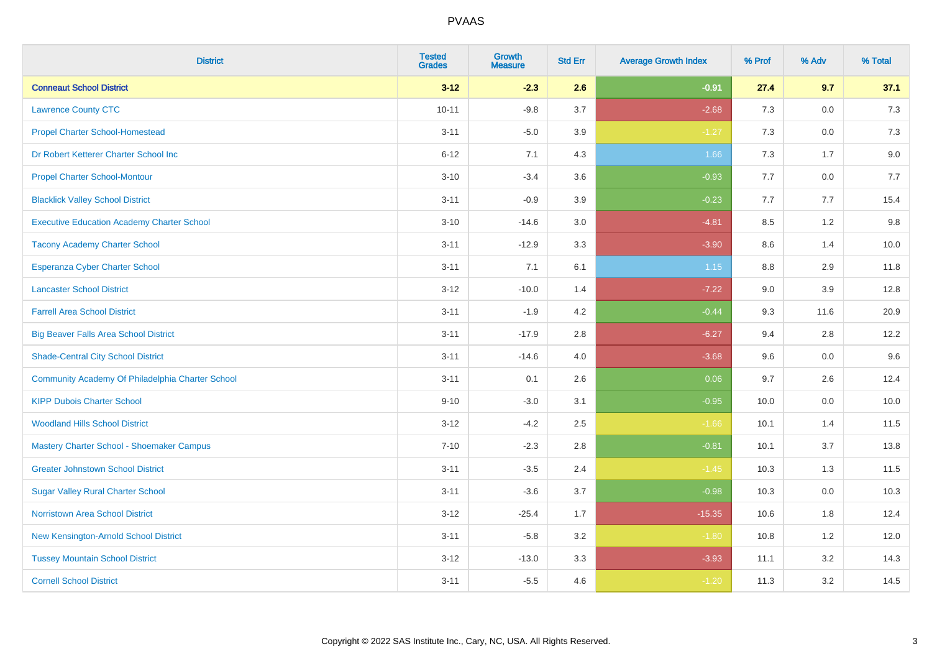| <b>District</b>                                   | <b>Tested</b><br><b>Grades</b> | <b>Growth</b><br><b>Measure</b> | <b>Std Err</b> | <b>Average Growth Index</b> | % Prof | % Adv   | % Total |
|---------------------------------------------------|--------------------------------|---------------------------------|----------------|-----------------------------|--------|---------|---------|
| <b>Conneaut School District</b>                   | $3 - 12$                       | $-2.3$                          | 2.6            | $-0.91$                     | 27.4   | 9.7     | 37.1    |
| <b>Lawrence County CTC</b>                        | $10 - 11$                      | $-9.8$                          | 3.7            | $-2.68$                     | 7.3    | 0.0     | 7.3     |
| <b>Propel Charter School-Homestead</b>            | $3 - 11$                       | $-5.0$                          | 3.9            | $-1.27$                     | 7.3    | 0.0     | 7.3     |
| Dr Robert Ketterer Charter School Inc             | $6 - 12$                       | 7.1                             | 4.3            | 1.66                        | $7.3$  | 1.7     | 9.0     |
| <b>Propel Charter School-Montour</b>              | $3 - 10$                       | $-3.4$                          | 3.6            | $-0.93$                     | 7.7    | 0.0     | 7.7     |
| <b>Blacklick Valley School District</b>           | $3 - 11$                       | $-0.9$                          | 3.9            | $-0.23$                     | 7.7    | 7.7     | 15.4    |
| <b>Executive Education Academy Charter School</b> | $3 - 10$                       | $-14.6$                         | 3.0            | $-4.81$                     | 8.5    | 1.2     | 9.8     |
| <b>Tacony Academy Charter School</b>              | $3 - 11$                       | $-12.9$                         | 3.3            | $-3.90$                     | 8.6    | 1.4     | 10.0    |
| <b>Esperanza Cyber Charter School</b>             | $3 - 11$                       | 7.1                             | 6.1            | 1.15                        | 8.8    | 2.9     | 11.8    |
| <b>Lancaster School District</b>                  | $3 - 12$                       | $-10.0$                         | 1.4            | $-7.22$                     | 9.0    | 3.9     | 12.8    |
| <b>Farrell Area School District</b>               | $3 - 11$                       | $-1.9$                          | 4.2            | $-0.44$                     | 9.3    | 11.6    | 20.9    |
| <b>Big Beaver Falls Area School District</b>      | $3 - 11$                       | $-17.9$                         | 2.8            | $-6.27$                     | 9.4    | 2.8     | 12.2    |
| <b>Shade-Central City School District</b>         | $3 - 11$                       | $-14.6$                         | 4.0            | $-3.68$                     | 9.6    | 0.0     | 9.6     |
| Community Academy Of Philadelphia Charter School  | $3 - 11$                       | 0.1                             | 2.6            | 0.06                        | 9.7    | 2.6     | 12.4    |
| <b>KIPP Dubois Charter School</b>                 | $9 - 10$                       | $-3.0$                          | 3.1            | $-0.95$                     | 10.0   | 0.0     | 10.0    |
| <b>Woodland Hills School District</b>             | $3 - 12$                       | $-4.2$                          | 2.5            | $-1.66$                     | 10.1   | 1.4     | 11.5    |
| Mastery Charter School - Shoemaker Campus         | $7 - 10$                       | $-2.3$                          | 2.8            | $-0.81$                     | 10.1   | 3.7     | 13.8    |
| <b>Greater Johnstown School District</b>          | $3 - 11$                       | $-3.5$                          | 2.4            | $-1.45$                     | 10.3   | 1.3     | 11.5    |
| <b>Sugar Valley Rural Charter School</b>          | $3 - 11$                       | $-3.6$                          | 3.7            | $-0.98$                     | 10.3   | $0.0\,$ | 10.3    |
| Norristown Area School District                   | $3 - 12$                       | $-25.4$                         | 1.7            | $-15.35$                    | 10.6   | 1.8     | 12.4    |
| New Kensington-Arnold School District             | $3 - 11$                       | $-5.8$                          | 3.2            | $-1.80$                     | 10.8   | 1.2     | 12.0    |
| <b>Tussey Mountain School District</b>            | $3 - 12$                       | $-13.0$                         | 3.3            | $-3.93$                     | 11.1   | 3.2     | 14.3    |
| <b>Cornell School District</b>                    | $3 - 11$                       | $-5.5$                          | 4.6            | $-1.20$                     | 11.3   | 3.2     | 14.5    |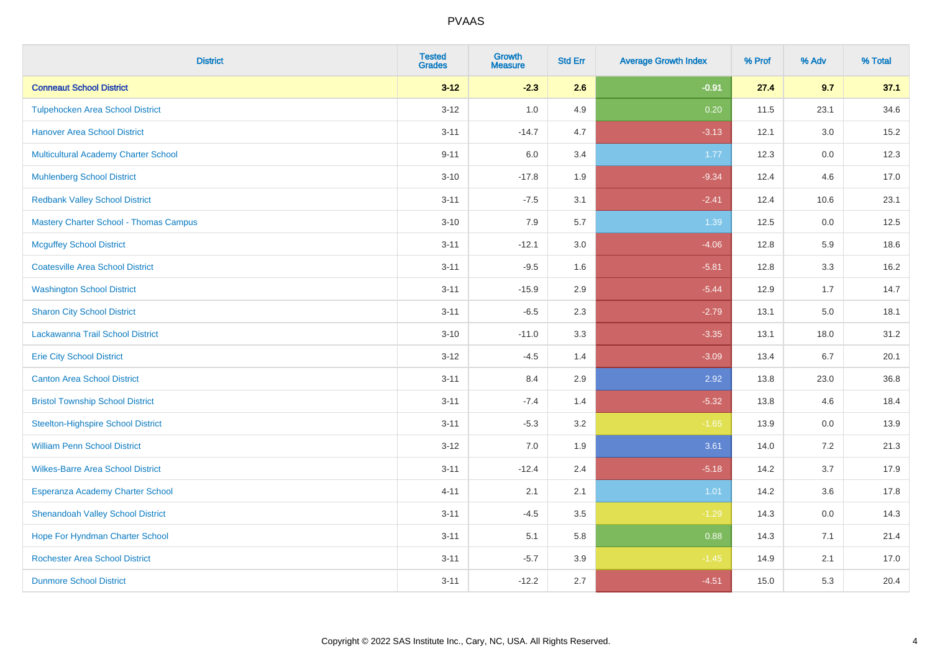| <b>District</b>                               | <b>Tested</b><br><b>Grades</b> | <b>Growth</b><br><b>Measure</b> | <b>Std Err</b> | <b>Average Growth Index</b> | % Prof | % Adv   | % Total |
|-----------------------------------------------|--------------------------------|---------------------------------|----------------|-----------------------------|--------|---------|---------|
| <b>Conneaut School District</b>               | $3 - 12$                       | $-2.3$                          | 2.6            | $-0.91$                     | 27.4   | 9.7     | 37.1    |
| <b>Tulpehocken Area School District</b>       | $3 - 12$                       | 1.0                             | 4.9            | 0.20                        | 11.5   | 23.1    | 34.6    |
| <b>Hanover Area School District</b>           | $3 - 11$                       | $-14.7$                         | 4.7            | $-3.13$                     | 12.1   | 3.0     | 15.2    |
| Multicultural Academy Charter School          | $9 - 11$                       | 6.0                             | 3.4            | 1.77                        | 12.3   | 0.0     | 12.3    |
| <b>Muhlenberg School District</b>             | $3 - 10$                       | $-17.8$                         | 1.9            | $-9.34$                     | 12.4   | 4.6     | 17.0    |
| <b>Redbank Valley School District</b>         | $3 - 11$                       | $-7.5$                          | 3.1            | $-2.41$                     | 12.4   | 10.6    | 23.1    |
| <b>Mastery Charter School - Thomas Campus</b> | $3 - 10$                       | 7.9                             | 5.7            | 1.39                        | 12.5   | 0.0     | 12.5    |
| <b>Mcguffey School District</b>               | $3 - 11$                       | $-12.1$                         | 3.0            | $-4.06$                     | 12.8   | 5.9     | 18.6    |
| <b>Coatesville Area School District</b>       | $3 - 11$                       | $-9.5$                          | 1.6            | $-5.81$                     | 12.8   | 3.3     | 16.2    |
| <b>Washington School District</b>             | $3 - 11$                       | $-15.9$                         | 2.9            | $-5.44$                     | 12.9   | 1.7     | 14.7    |
| <b>Sharon City School District</b>            | $3 - 11$                       | $-6.5$                          | 2.3            | $-2.79$                     | 13.1   | 5.0     | 18.1    |
| Lackawanna Trail School District              | $3 - 10$                       | $-11.0$                         | 3.3            | $-3.35$                     | 13.1   | 18.0    | 31.2    |
| <b>Erie City School District</b>              | $3 - 12$                       | $-4.5$                          | 1.4            | $-3.09$                     | 13.4   | 6.7     | 20.1    |
| <b>Canton Area School District</b>            | $3 - 11$                       | 8.4                             | 2.9            | 2.92                        | 13.8   | 23.0    | 36.8    |
| <b>Bristol Township School District</b>       | $3 - 11$                       | $-7.4$                          | 1.4            | $-5.32$                     | 13.8   | 4.6     | 18.4    |
| <b>Steelton-Highspire School District</b>     | $3 - 11$                       | $-5.3$                          | 3.2            | $-1.65$                     | 13.9   | $0.0\,$ | 13.9    |
| <b>William Penn School District</b>           | $3 - 12$                       | 7.0                             | 1.9            | 3.61                        | 14.0   | 7.2     | 21.3    |
| <b>Wilkes-Barre Area School District</b>      | $3 - 11$                       | $-12.4$                         | 2.4            | $-5.18$                     | 14.2   | 3.7     | 17.9    |
| Esperanza Academy Charter School              | $4 - 11$                       | 2.1                             | 2.1            | 1.01                        | 14.2   | 3.6     | 17.8    |
| <b>Shenandoah Valley School District</b>      | $3 - 11$                       | $-4.5$                          | 3.5            | $-1.29$                     | 14.3   | 0.0     | 14.3    |
| Hope For Hyndman Charter School               | $3 - 11$                       | 5.1                             | 5.8            | 0.88                        | 14.3   | 7.1     | 21.4    |
| <b>Rochester Area School District</b>         | $3 - 11$                       | $-5.7$                          | 3.9            | $-1.45$                     | 14.9   | 2.1     | 17.0    |
| <b>Dunmore School District</b>                | $3 - 11$                       | $-12.2$                         | 2.7            | $-4.51$                     | 15.0   | 5.3     | 20.4    |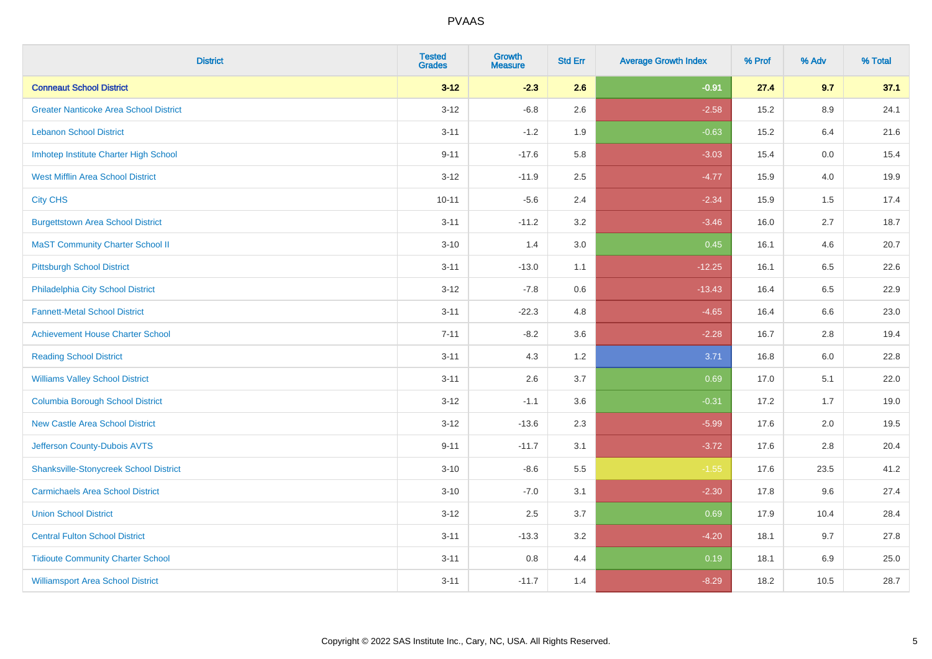| <b>District</b>                               | <b>Tested</b><br><b>Grades</b> | Growth<br><b>Measure</b> | <b>Std Err</b> | <b>Average Growth Index</b> | % Prof | % Adv | % Total |
|-----------------------------------------------|--------------------------------|--------------------------|----------------|-----------------------------|--------|-------|---------|
| <b>Conneaut School District</b>               | $3 - 12$                       | $-2.3$                   | 2.6            | $-0.91$                     | 27.4   | 9.7   | 37.1    |
| <b>Greater Nanticoke Area School District</b> | $3 - 12$                       | $-6.8$                   | 2.6            | $-2.58$                     | 15.2   | 8.9   | 24.1    |
| <b>Lebanon School District</b>                | $3 - 11$                       | $-1.2$                   | 1.9            | $-0.63$                     | 15.2   | 6.4   | 21.6    |
| Imhotep Institute Charter High School         | $9 - 11$                       | $-17.6$                  | 5.8            | $-3.03$                     | 15.4   | 0.0   | 15.4    |
| <b>West Mifflin Area School District</b>      | $3 - 12$                       | $-11.9$                  | 2.5            | $-4.77$                     | 15.9   | 4.0   | 19.9    |
| <b>City CHS</b>                               | $10 - 11$                      | $-5.6$                   | 2.4            | $-2.34$                     | 15.9   | 1.5   | 17.4    |
| <b>Burgettstown Area School District</b>      | $3 - 11$                       | $-11.2$                  | 3.2            | $-3.46$                     | 16.0   | 2.7   | 18.7    |
| <b>MaST Community Charter School II</b>       | $3 - 10$                       | 1.4                      | 3.0            | 0.45                        | 16.1   | 4.6   | 20.7    |
| <b>Pittsburgh School District</b>             | $3 - 11$                       | $-13.0$                  | 1.1            | $-12.25$                    | 16.1   | 6.5   | 22.6    |
| Philadelphia City School District             | $3 - 12$                       | $-7.8$                   | 0.6            | $-13.43$                    | 16.4   | 6.5   | 22.9    |
| <b>Fannett-Metal School District</b>          | $3 - 11$                       | $-22.3$                  | 4.8            | $-4.65$                     | 16.4   | 6.6   | 23.0    |
| <b>Achievement House Charter School</b>       | $7 - 11$                       | $-8.2$                   | 3.6            | $-2.28$                     | 16.7   | 2.8   | 19.4    |
| <b>Reading School District</b>                | $3 - 11$                       | 4.3                      | 1.2            | 3.71                        | 16.8   | 6.0   | 22.8    |
| <b>Williams Valley School District</b>        | $3 - 11$                       | 2.6                      | 3.7            | 0.69                        | 17.0   | 5.1   | 22.0    |
| <b>Columbia Borough School District</b>       | $3 - 12$                       | $-1.1$                   | 3.6            | $-0.31$                     | 17.2   | 1.7   | 19.0    |
| <b>New Castle Area School District</b>        | $3 - 12$                       | $-13.6$                  | 2.3            | $-5.99$                     | 17.6   | 2.0   | 19.5    |
| Jefferson County-Dubois AVTS                  | $9 - 11$                       | $-11.7$                  | 3.1            | $-3.72$                     | 17.6   | 2.8   | 20.4    |
| <b>Shanksville-Stonycreek School District</b> | $3 - 10$                       | $-8.6$                   | 5.5            | $-1.55$                     | 17.6   | 23.5  | 41.2    |
| <b>Carmichaels Area School District</b>       | $3 - 10$                       | $-7.0$                   | 3.1            | $-2.30$                     | 17.8   | 9.6   | 27.4    |
| <b>Union School District</b>                  | $3 - 12$                       | 2.5                      | 3.7            | 0.69                        | 17.9   | 10.4  | 28.4    |
| <b>Central Fulton School District</b>         | $3 - 11$                       | $-13.3$                  | 3.2            | $-4.20$                     | 18.1   | 9.7   | 27.8    |
| <b>Tidioute Community Charter School</b>      | $3 - 11$                       | 0.8                      | 4.4            | 0.19                        | 18.1   | 6.9   | 25.0    |
| <b>Williamsport Area School District</b>      | $3 - 11$                       | $-11.7$                  | 1.4            | $-8.29$                     | 18.2   | 10.5  | 28.7    |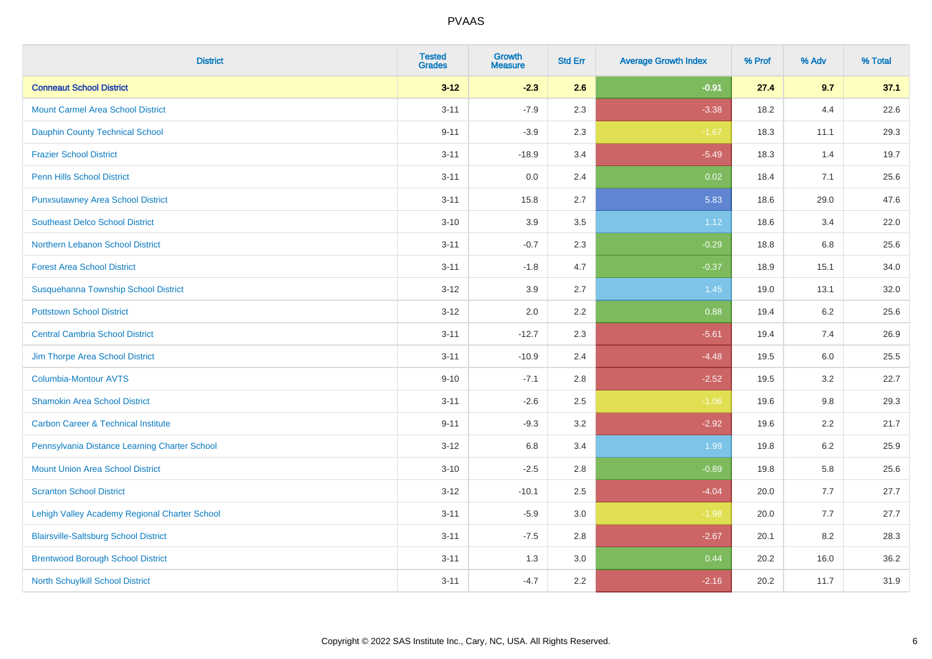| <b>District</b>                                | <b>Tested</b><br><b>Grades</b> | <b>Growth</b><br><b>Measure</b> | <b>Std Err</b> | <b>Average Growth Index</b> | % Prof | % Adv | % Total |
|------------------------------------------------|--------------------------------|---------------------------------|----------------|-----------------------------|--------|-------|---------|
| <b>Conneaut School District</b>                | $3 - 12$                       | $-2.3$                          | 2.6            | $-0.91$                     | 27.4   | 9.7   | 37.1    |
| <b>Mount Carmel Area School District</b>       | $3 - 11$                       | $-7.9$                          | 2.3            | $-3.38$                     | 18.2   | 4.4   | 22.6    |
| <b>Dauphin County Technical School</b>         | $9 - 11$                       | $-3.9$                          | 2.3            | $-1.67$                     | 18.3   | 11.1  | 29.3    |
| <b>Frazier School District</b>                 | $3 - 11$                       | $-18.9$                         | 3.4            | $-5.49$                     | 18.3   | 1.4   | 19.7    |
| <b>Penn Hills School District</b>              | $3 - 11$                       | 0.0                             | 2.4            | 0.02                        | 18.4   | 7.1   | 25.6    |
| <b>Punxsutawney Area School District</b>       | $3 - 11$                       | 15.8                            | 2.7            | 5.83                        | 18.6   | 29.0  | 47.6    |
| <b>Southeast Delco School District</b>         | $3 - 10$                       | 3.9                             | 3.5            | 1.12                        | 18.6   | 3.4   | 22.0    |
| Northern Lebanon School District               | $3 - 11$                       | $-0.7$                          | 2.3            | $-0.29$                     | 18.8   | 6.8   | 25.6    |
| <b>Forest Area School District</b>             | $3 - 11$                       | $-1.8$                          | 4.7            | $-0.37$                     | 18.9   | 15.1  | 34.0    |
| Susquehanna Township School District           | $3 - 12$                       | $3.9\,$                         | 2.7            | 1.45                        | 19.0   | 13.1  | 32.0    |
| <b>Pottstown School District</b>               | $3 - 12$                       | 2.0                             | 2.2            | 0.88                        | 19.4   | 6.2   | 25.6    |
| <b>Central Cambria School District</b>         | $3 - 11$                       | $-12.7$                         | 2.3            | $-5.61$                     | 19.4   | 7.4   | 26.9    |
| Jim Thorpe Area School District                | $3 - 11$                       | $-10.9$                         | 2.4            | $-4.48$                     | 19.5   | 6.0   | 25.5    |
| <b>Columbia-Montour AVTS</b>                   | $9 - 10$                       | $-7.1$                          | 2.8            | $-2.52$                     | 19.5   | 3.2   | 22.7    |
| <b>Shamokin Area School District</b>           | $3 - 11$                       | $-2.6$                          | 2.5            | $-1.06$                     | 19.6   | 9.8   | 29.3    |
| <b>Carbon Career &amp; Technical Institute</b> | $9 - 11$                       | $-9.3$                          | 3.2            | $-2.92$                     | 19.6   | 2.2   | 21.7    |
| Pennsylvania Distance Learning Charter School  | $3 - 12$                       | 6.8                             | 3.4            | 1.99                        | 19.8   | 6.2   | 25.9    |
| <b>Mount Union Area School District</b>        | $3 - 10$                       | $-2.5$                          | 2.8            | $-0.89$                     | 19.8   | 5.8   | 25.6    |
| <b>Scranton School District</b>                | $3 - 12$                       | $-10.1$                         | 2.5            | $-4.04$                     | 20.0   | 7.7   | 27.7    |
| Lehigh Valley Academy Regional Charter School  | $3 - 11$                       | $-5.9$                          | 3.0            | $-1.98$                     | 20.0   | 7.7   | 27.7    |
| <b>Blairsville-Saltsburg School District</b>   | $3 - 11$                       | $-7.5$                          | 2.8            | $-2.67$                     | 20.1   | 8.2   | 28.3    |
| <b>Brentwood Borough School District</b>       | $3 - 11$                       | 1.3                             | 3.0            | 0.44                        | 20.2   | 16.0  | 36.2    |
| North Schuylkill School District               | $3 - 11$                       | $-4.7$                          | 2.2            | $-2.16$                     | 20.2   | 11.7  | 31.9    |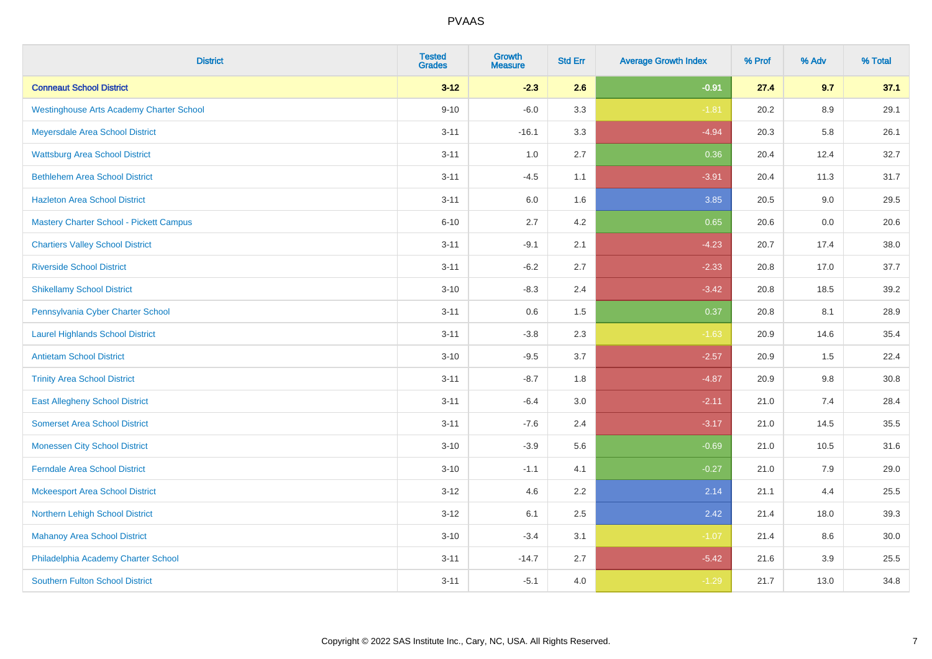| <b>District</b>                                 | <b>Tested</b><br><b>Grades</b> | <b>Growth</b><br><b>Measure</b> | <b>Std Err</b> | <b>Average Growth Index</b> | % Prof | % Adv   | % Total |
|-------------------------------------------------|--------------------------------|---------------------------------|----------------|-----------------------------|--------|---------|---------|
| <b>Conneaut School District</b>                 | $3 - 12$                       | $-2.3$                          | 2.6            | $-0.91$                     | 27.4   | 9.7     | 37.1    |
| <b>Westinghouse Arts Academy Charter School</b> | $9 - 10$                       | $-6.0$                          | 3.3            | $-1.81$                     | 20.2   | 8.9     | 29.1    |
| Meyersdale Area School District                 | $3 - 11$                       | $-16.1$                         | 3.3            | $-4.94$                     | 20.3   | 5.8     | 26.1    |
| <b>Wattsburg Area School District</b>           | $3 - 11$                       | $1.0\,$                         | 2.7            | 0.36                        | 20.4   | 12.4    | 32.7    |
| <b>Bethlehem Area School District</b>           | $3 - 11$                       | $-4.5$                          | 1.1            | $-3.91$                     | 20.4   | 11.3    | 31.7    |
| <b>Hazleton Area School District</b>            | $3 - 11$                       | $6.0\,$                         | 1.6            | 3.85                        | 20.5   | 9.0     | 29.5    |
| Mastery Charter School - Pickett Campus         | $6 - 10$                       | 2.7                             | 4.2            | 0.65                        | 20.6   | $0.0\,$ | 20.6    |
| <b>Chartiers Valley School District</b>         | $3 - 11$                       | $-9.1$                          | 2.1            | $-4.23$                     | 20.7   | 17.4    | 38.0    |
| <b>Riverside School District</b>                | $3 - 11$                       | $-6.2$                          | 2.7            | $-2.33$                     | 20.8   | 17.0    | 37.7    |
| <b>Shikellamy School District</b>               | $3 - 10$                       | $-8.3$                          | 2.4            | $-3.42$                     | 20.8   | 18.5    | 39.2    |
| Pennsylvania Cyber Charter School               | $3 - 11$                       | 0.6                             | 1.5            | 0.37                        | 20.8   | 8.1     | 28.9    |
| <b>Laurel Highlands School District</b>         | $3 - 11$                       | $-3.8$                          | 2.3            | $-1.63$                     | 20.9   | 14.6    | 35.4    |
| <b>Antietam School District</b>                 | $3 - 10$                       | $-9.5$                          | 3.7            | $-2.57$                     | 20.9   | 1.5     | 22.4    |
| <b>Trinity Area School District</b>             | $3 - 11$                       | $-8.7$                          | 1.8            | $-4.87$                     | 20.9   | 9.8     | 30.8    |
| <b>East Allegheny School District</b>           | $3 - 11$                       | $-6.4$                          | 3.0            | $-2.11$                     | 21.0   | 7.4     | 28.4    |
| <b>Somerset Area School District</b>            | $3 - 11$                       | $-7.6$                          | 2.4            | $-3.17$                     | 21.0   | 14.5    | 35.5    |
| <b>Monessen City School District</b>            | $3 - 10$                       | $-3.9$                          | 5.6            | $-0.69$                     | 21.0   | 10.5    | 31.6    |
| <b>Ferndale Area School District</b>            | $3 - 10$                       | $-1.1$                          | 4.1            | $-0.27$                     | 21.0   | 7.9     | 29.0    |
| <b>Mckeesport Area School District</b>          | $3 - 12$                       | 4.6                             | 2.2            | 2.14                        | 21.1   | 4.4     | 25.5    |
| Northern Lehigh School District                 | $3 - 12$                       | 6.1                             | 2.5            | 2.42                        | 21.4   | 18.0    | 39.3    |
| <b>Mahanoy Area School District</b>             | $3 - 10$                       | $-3.4$                          | 3.1            | $-1.07$                     | 21.4   | 8.6     | 30.0    |
| Philadelphia Academy Charter School             | $3 - 11$                       | $-14.7$                         | 2.7            | $-5.42$                     | 21.6   | 3.9     | 25.5    |
| <b>Southern Fulton School District</b>          | $3 - 11$                       | $-5.1$                          | 4.0            | $-1.29$                     | 21.7   | 13.0    | 34.8    |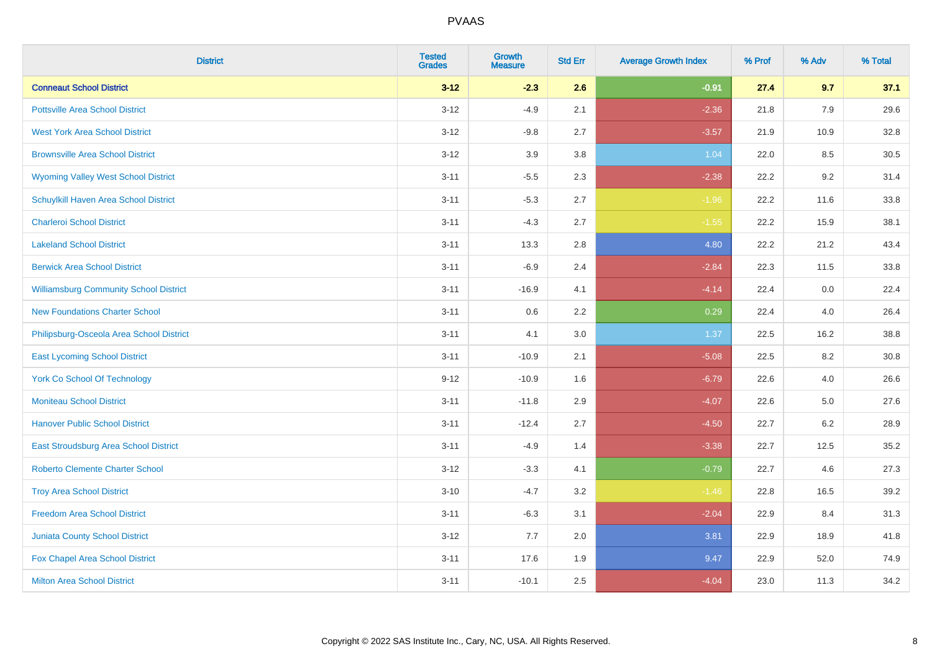| <b>District</b>                               | <b>Tested</b><br><b>Grades</b> | <b>Growth</b><br><b>Measure</b> | <b>Std Err</b> | <b>Average Growth Index</b> | % Prof | % Adv   | % Total |
|-----------------------------------------------|--------------------------------|---------------------------------|----------------|-----------------------------|--------|---------|---------|
| <b>Conneaut School District</b>               | $3 - 12$                       | $-2.3$                          | 2.6            | $-0.91$                     | 27.4   | 9.7     | 37.1    |
| <b>Pottsville Area School District</b>        | $3 - 12$                       | $-4.9$                          | 2.1            | $-2.36$                     | 21.8   | 7.9     | 29.6    |
| <b>West York Area School District</b>         | $3 - 12$                       | $-9.8$                          | 2.7            | $-3.57$                     | 21.9   | 10.9    | 32.8    |
| <b>Brownsville Area School District</b>       | $3 - 12$                       | 3.9                             | 3.8            | 1.04                        | 22.0   | 8.5     | 30.5    |
| <b>Wyoming Valley West School District</b>    | $3 - 11$                       | $-5.5$                          | 2.3            | $-2.38$                     | 22.2   | 9.2     | 31.4    |
| Schuylkill Haven Area School District         | $3 - 11$                       | $-5.3$                          | 2.7            | $-1.96$                     | 22.2   | 11.6    | 33.8    |
| <b>Charleroi School District</b>              | $3 - 11$                       | $-4.3$                          | 2.7            | $-1.55$                     | 22.2   | 15.9    | 38.1    |
| <b>Lakeland School District</b>               | $3 - 11$                       | 13.3                            | 2.8            | 4.80                        | 22.2   | 21.2    | 43.4    |
| <b>Berwick Area School District</b>           | $3 - 11$                       | $-6.9$                          | 2.4            | $-2.84$                     | 22.3   | 11.5    | 33.8    |
| <b>Williamsburg Community School District</b> | $3 - 11$                       | $-16.9$                         | 4.1            | $-4.14$                     | 22.4   | 0.0     | 22.4    |
| <b>New Foundations Charter School</b>         | $3 - 11$                       | $0.6\,$                         | 2.2            | 0.29                        | 22.4   | 4.0     | 26.4    |
| Philipsburg-Osceola Area School District      | $3 - 11$                       | 4.1                             | 3.0            | 1.37                        | 22.5   | 16.2    | 38.8    |
| <b>East Lycoming School District</b>          | $3 - 11$                       | $-10.9$                         | 2.1            | $-5.08$                     | 22.5   | $8.2\,$ | 30.8    |
| <b>York Co School Of Technology</b>           | $9 - 12$                       | $-10.9$                         | 1.6            | $-6.79$                     | 22.6   | 4.0     | 26.6    |
| <b>Moniteau School District</b>               | $3 - 11$                       | $-11.8$                         | 2.9            | $-4.07$                     | 22.6   | 5.0     | 27.6    |
| <b>Hanover Public School District</b>         | $3 - 11$                       | $-12.4$                         | 2.7            | $-4.50$                     | 22.7   | $6.2\,$ | 28.9    |
| East Stroudsburg Area School District         | $3 - 11$                       | $-4.9$                          | 1.4            | $-3.38$                     | 22.7   | 12.5    | 35.2    |
| <b>Roberto Clemente Charter School</b>        | $3 - 12$                       | $-3.3$                          | 4.1            | $-0.79$                     | 22.7   | 4.6     | 27.3    |
| <b>Troy Area School District</b>              | $3 - 10$                       | $-4.7$                          | 3.2            | $-1.46$                     | 22.8   | 16.5    | 39.2    |
| <b>Freedom Area School District</b>           | $3 - 11$                       | $-6.3$                          | 3.1            | $-2.04$                     | 22.9   | 8.4     | 31.3    |
| <b>Juniata County School District</b>         | $3 - 12$                       | 7.7                             | 2.0            | 3.81                        | 22.9   | 18.9    | 41.8    |
| Fox Chapel Area School District               | $3 - 11$                       | 17.6                            | 1.9            | 9.47                        | 22.9   | 52.0    | 74.9    |
| <b>Milton Area School District</b>            | $3 - 11$                       | $-10.1$                         | 2.5            | $-4.04$                     | 23.0   | 11.3    | 34.2    |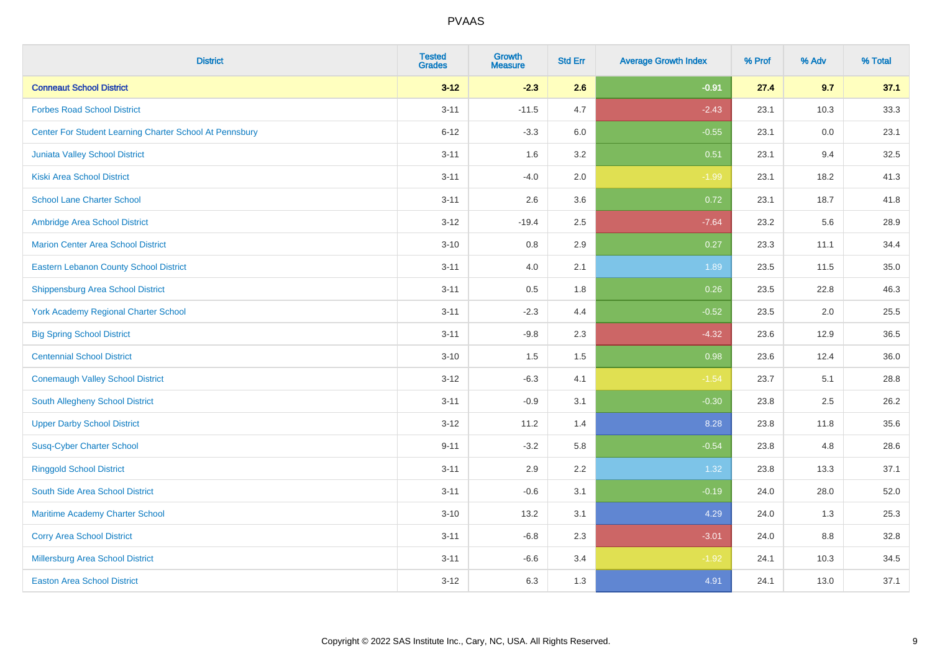| <b>District</b>                                         | <b>Tested</b><br><b>Grades</b> | <b>Growth</b><br><b>Measure</b> | <b>Std Err</b> | <b>Average Growth Index</b> | % Prof | % Adv | % Total |
|---------------------------------------------------------|--------------------------------|---------------------------------|----------------|-----------------------------|--------|-------|---------|
| <b>Conneaut School District</b>                         | $3 - 12$                       | $-2.3$                          | 2.6            | $-0.91$                     | 27.4   | 9.7   | 37.1    |
| <b>Forbes Road School District</b>                      | $3 - 11$                       | $-11.5$                         | 4.7            | $-2.43$                     | 23.1   | 10.3  | 33.3    |
| Center For Student Learning Charter School At Pennsbury | $6 - 12$                       | $-3.3$                          | 6.0            | $-0.55$                     | 23.1   | 0.0   | 23.1    |
| Juniata Valley School District                          | $3 - 11$                       | 1.6                             | 3.2            | 0.51                        | 23.1   | 9.4   | 32.5    |
| <b>Kiski Area School District</b>                       | $3 - 11$                       | $-4.0$                          | 2.0            | $-1.99$                     | 23.1   | 18.2  | 41.3    |
| <b>School Lane Charter School</b>                       | $3 - 11$                       | 2.6                             | 3.6            | 0.72                        | 23.1   | 18.7  | 41.8    |
| Ambridge Area School District                           | $3 - 12$                       | $-19.4$                         | 2.5            | $-7.64$                     | 23.2   | 5.6   | 28.9    |
| <b>Marion Center Area School District</b>               | $3 - 10$                       | 0.8                             | 2.9            | 0.27                        | 23.3   | 11.1  | 34.4    |
| <b>Eastern Lebanon County School District</b>           | $3 - 11$                       | 4.0                             | 2.1            | 1.89                        | 23.5   | 11.5  | 35.0    |
| <b>Shippensburg Area School District</b>                | $3 - 11$                       | 0.5                             | 1.8            | 0.26                        | 23.5   | 22.8  | 46.3    |
| <b>York Academy Regional Charter School</b>             | $3 - 11$                       | $-2.3$                          | 4.4            | $-0.52$                     | 23.5   | 2.0   | 25.5    |
| <b>Big Spring School District</b>                       | $3 - 11$                       | $-9.8$                          | 2.3            | $-4.32$                     | 23.6   | 12.9  | 36.5    |
| <b>Centennial School District</b>                       | $3 - 10$                       | 1.5                             | 1.5            | 0.98                        | 23.6   | 12.4  | 36.0    |
| <b>Conemaugh Valley School District</b>                 | $3 - 12$                       | $-6.3$                          | 4.1            | $-1.54$                     | 23.7   | 5.1   | 28.8    |
| South Allegheny School District                         | $3 - 11$                       | $-0.9$                          | 3.1            | $-0.30$                     | 23.8   | 2.5   | 26.2    |
| <b>Upper Darby School District</b>                      | $3 - 12$                       | 11.2                            | 1.4            | 8.28                        | 23.8   | 11.8  | 35.6    |
| <b>Susq-Cyber Charter School</b>                        | $9 - 11$                       | $-3.2$                          | 5.8            | $-0.54$                     | 23.8   | 4.8   | 28.6    |
| <b>Ringgold School District</b>                         | $3 - 11$                       | 2.9                             | 2.2            | 1.32                        | 23.8   | 13.3  | 37.1    |
| South Side Area School District                         | $3 - 11$                       | $-0.6$                          | 3.1            | $-0.19$                     | 24.0   | 28.0  | 52.0    |
| Maritime Academy Charter School                         | $3 - 10$                       | 13.2                            | 3.1            | 4.29                        | 24.0   | 1.3   | 25.3    |
| <b>Corry Area School District</b>                       | $3 - 11$                       | $-6.8$                          | 2.3            | $-3.01$                     | 24.0   | 8.8   | 32.8    |
| Millersburg Area School District                        | $3 - 11$                       | $-6.6$                          | 3.4            | $-1.92$                     | 24.1   | 10.3  | 34.5    |
| <b>Easton Area School District</b>                      | $3 - 12$                       | 6.3                             | 1.3            | 4.91                        | 24.1   | 13.0  | 37.1    |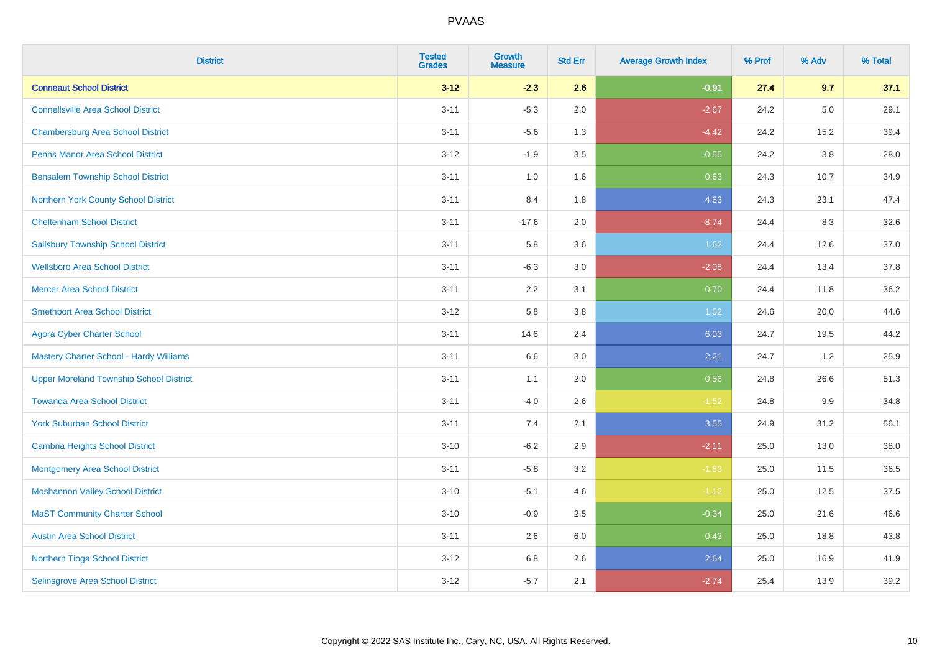| <b>District</b>                                | <b>Tested</b><br><b>Grades</b> | <b>Growth</b><br><b>Measure</b> | <b>Std Err</b> | <b>Average Growth Index</b> | % Prof | % Adv | % Total |
|------------------------------------------------|--------------------------------|---------------------------------|----------------|-----------------------------|--------|-------|---------|
| <b>Conneaut School District</b>                | $3 - 12$                       | $-2.3$                          | 2.6            | $-0.91$                     | 27.4   | 9.7   | 37.1    |
| <b>Connellsville Area School District</b>      | $3 - 11$                       | $-5.3$                          | 2.0            | $-2.67$                     | 24.2   | 5.0   | 29.1    |
| <b>Chambersburg Area School District</b>       | $3 - 11$                       | $-5.6$                          | 1.3            | $-4.42$                     | 24.2   | 15.2  | 39.4    |
| <b>Penns Manor Area School District</b>        | $3 - 12$                       | $-1.9$                          | 3.5            | $-0.55$                     | 24.2   | 3.8   | 28.0    |
| <b>Bensalem Township School District</b>       | $3 - 11$                       | 1.0                             | 1.6            | 0.63                        | 24.3   | 10.7  | 34.9    |
| Northern York County School District           | $3 - 11$                       | 8.4                             | 1.8            | 4.63                        | 24.3   | 23.1  | 47.4    |
| <b>Cheltenham School District</b>              | $3 - 11$                       | $-17.6$                         | 2.0            | $-8.74$                     | 24.4   | 8.3   | 32.6    |
| <b>Salisbury Township School District</b>      | $3 - 11$                       | 5.8                             | 3.6            | 1.62                        | 24.4   | 12.6  | 37.0    |
| <b>Wellsboro Area School District</b>          | $3 - 11$                       | $-6.3$                          | 3.0            | $-2.08$                     | 24.4   | 13.4  | 37.8    |
| <b>Mercer Area School District</b>             | $3 - 11$                       | 2.2                             | 3.1            | 0.70                        | 24.4   | 11.8  | 36.2    |
| <b>Smethport Area School District</b>          | $3 - 12$                       | 5.8                             | 3.8            | 1.52                        | 24.6   | 20.0  | 44.6    |
| <b>Agora Cyber Charter School</b>              | $3 - 11$                       | 14.6                            | 2.4            | 6.03                        | 24.7   | 19.5  | 44.2    |
| <b>Mastery Charter School - Hardy Williams</b> | $3 - 11$                       | 6.6                             | 3.0            | 2.21                        | 24.7   | 1.2   | 25.9    |
| <b>Upper Moreland Township School District</b> | $3 - 11$                       | 1.1                             | 2.0            | 0.56                        | 24.8   | 26.6  | 51.3    |
| <b>Towanda Area School District</b>            | $3 - 11$                       | $-4.0$                          | 2.6            | $-1.52$                     | 24.8   | 9.9   | 34.8    |
| <b>York Suburban School District</b>           | $3 - 11$                       | 7.4                             | 2.1            | 3.55                        | 24.9   | 31.2  | 56.1    |
| <b>Cambria Heights School District</b>         | $3 - 10$                       | $-6.2$                          | 2.9            | $-2.11$                     | 25.0   | 13.0  | 38.0    |
| <b>Montgomery Area School District</b>         | $3 - 11$                       | $-5.8$                          | 3.2            | $-1.83$                     | 25.0   | 11.5  | 36.5    |
| <b>Moshannon Valley School District</b>        | $3 - 10$                       | $-5.1$                          | 4.6            | $-1.12$                     | 25.0   | 12.5  | 37.5    |
| <b>MaST Community Charter School</b>           | $3 - 10$                       | $-0.9$                          | 2.5            | $-0.34$                     | 25.0   | 21.6  | 46.6    |
| <b>Austin Area School District</b>             | $3 - 11$                       | 2.6                             | 6.0            | 0.43                        | 25.0   | 18.8  | 43.8    |
| Northern Tioga School District                 | $3 - 12$                       | $6.8\,$                         | 2.6            | 2.64                        | 25.0   | 16.9  | 41.9    |
| Selinsgrove Area School District               | $3-12$                         | $-5.7$                          | 2.1            | $-2.74$                     | 25.4   | 13.9  | 39.2    |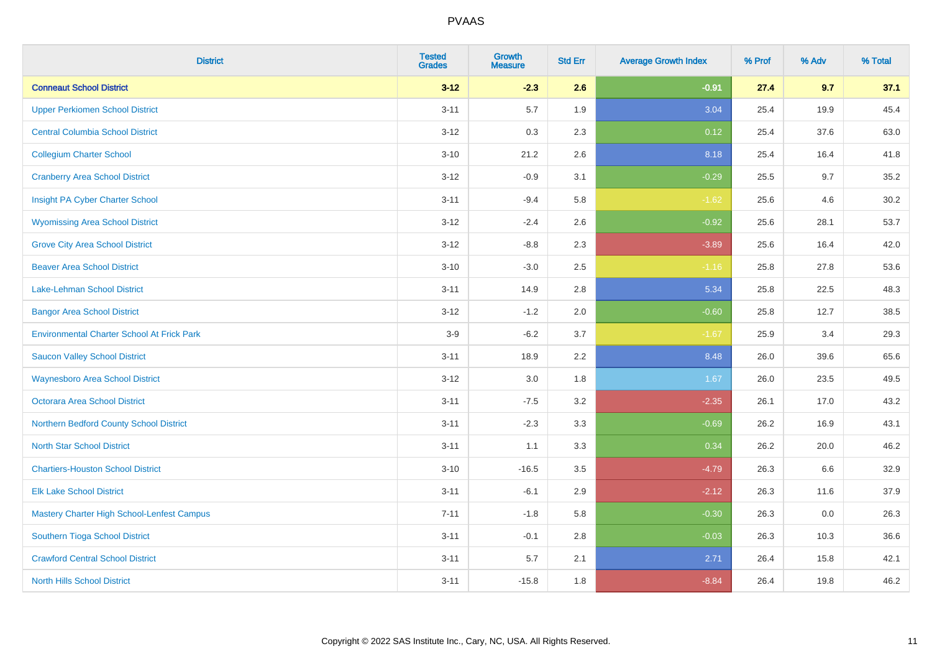| <b>District</b>                                   | <b>Tested</b><br><b>Grades</b> | <b>Growth</b><br><b>Measure</b> | <b>Std Err</b> | <b>Average Growth Index</b> | % Prof | % Adv | % Total |
|---------------------------------------------------|--------------------------------|---------------------------------|----------------|-----------------------------|--------|-------|---------|
| <b>Conneaut School District</b>                   | $3 - 12$                       | $-2.3$                          | 2.6            | $-0.91$                     | 27.4   | 9.7   | 37.1    |
| <b>Upper Perkiomen School District</b>            | $3 - 11$                       | 5.7                             | 1.9            | 3.04                        | 25.4   | 19.9  | 45.4    |
| <b>Central Columbia School District</b>           | $3 - 12$                       | 0.3                             | 2.3            | 0.12                        | 25.4   | 37.6  | 63.0    |
| <b>Collegium Charter School</b>                   | $3 - 10$                       | 21.2                            | 2.6            | 8.18                        | 25.4   | 16.4  | 41.8    |
| <b>Cranberry Area School District</b>             | $3-12$                         | $-0.9$                          | 3.1            | $-0.29$                     | 25.5   | 9.7   | 35.2    |
| Insight PA Cyber Charter School                   | $3 - 11$                       | $-9.4$                          | 5.8            | $-1.62$                     | 25.6   | 4.6   | 30.2    |
| <b>Wyomissing Area School District</b>            | $3 - 12$                       | $-2.4$                          | 2.6            | $-0.92$                     | 25.6   | 28.1  | 53.7    |
| <b>Grove City Area School District</b>            | $3 - 12$                       | $-8.8$                          | 2.3            | $-3.89$                     | 25.6   | 16.4  | 42.0    |
| <b>Beaver Area School District</b>                | $3 - 10$                       | $-3.0$                          | 2.5            | $-1.16$                     | 25.8   | 27.8  | 53.6    |
| <b>Lake-Lehman School District</b>                | $3 - 11$                       | 14.9                            | 2.8            | 5.34                        | 25.8   | 22.5  | 48.3    |
| <b>Bangor Area School District</b>                | $3 - 12$                       | $-1.2$                          | 2.0            | $-0.60$                     | 25.8   | 12.7  | 38.5    |
| <b>Environmental Charter School At Frick Park</b> | $3-9$                          | $-6.2$                          | 3.7            | $-1.67$                     | 25.9   | 3.4   | 29.3    |
| <b>Saucon Valley School District</b>              | $3 - 11$                       | 18.9                            | 2.2            | 8.48                        | 26.0   | 39.6  | 65.6    |
| <b>Waynesboro Area School District</b>            | $3 - 12$                       | 3.0                             | 1.8            | 1.67                        | 26.0   | 23.5  | 49.5    |
| <b>Octorara Area School District</b>              | $3 - 11$                       | $-7.5$                          | 3.2            | $-2.35$                     | 26.1   | 17.0  | 43.2    |
| Northern Bedford County School District           | $3 - 11$                       | $-2.3$                          | 3.3            | $-0.69$                     | 26.2   | 16.9  | 43.1    |
| <b>North Star School District</b>                 | $3 - 11$                       | 1.1                             | 3.3            | 0.34                        | 26.2   | 20.0  | 46.2    |
| <b>Chartiers-Houston School District</b>          | $3 - 10$                       | $-16.5$                         | 3.5            | $-4.79$                     | 26.3   | 6.6   | 32.9    |
| <b>Elk Lake School District</b>                   | $3 - 11$                       | $-6.1$                          | 2.9            | $-2.12$                     | 26.3   | 11.6  | 37.9    |
| Mastery Charter High School-Lenfest Campus        | $7 - 11$                       | $-1.8$                          | 5.8            | $-0.30$                     | 26.3   | 0.0   | 26.3    |
| Southern Tioga School District                    | $3 - 11$                       | $-0.1$                          | 2.8            | $-0.03$                     | 26.3   | 10.3  | 36.6    |
| <b>Crawford Central School District</b>           | $3 - 11$                       | 5.7                             | 2.1            | 2.71                        | 26.4   | 15.8  | 42.1    |
| <b>North Hills School District</b>                | $3 - 11$                       | $-15.8$                         | 1.8            | $-8.84$                     | 26.4   | 19.8  | 46.2    |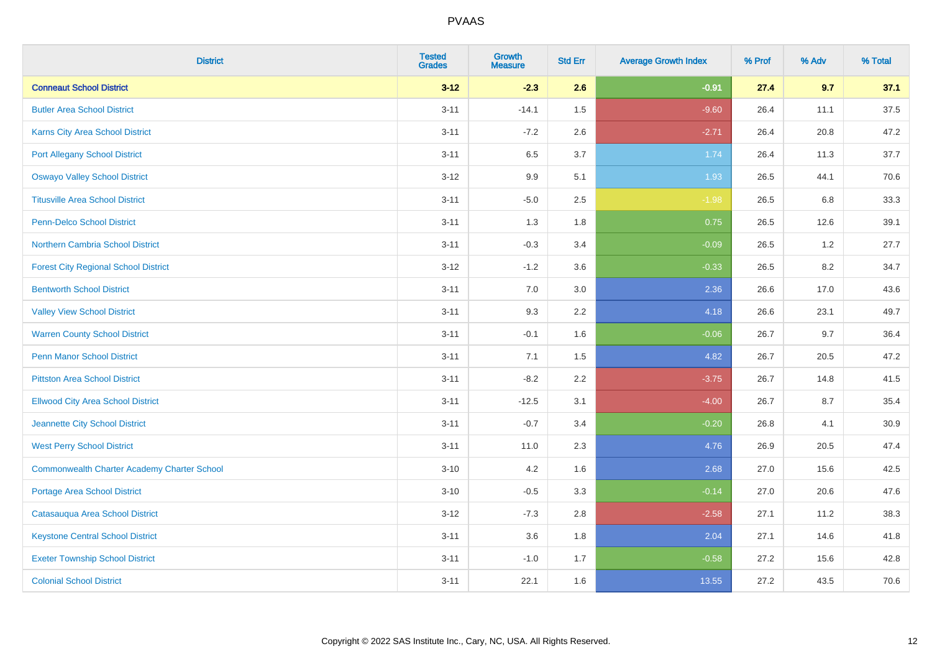| <b>District</b>                                    | <b>Tested</b><br><b>Grades</b> | <b>Growth</b><br><b>Measure</b> | <b>Std Err</b> | <b>Average Growth Index</b> | % Prof | % Adv | % Total  |
|----------------------------------------------------|--------------------------------|---------------------------------|----------------|-----------------------------|--------|-------|----------|
| <b>Conneaut School District</b>                    | $3 - 12$                       | $-2.3$                          | 2.6            | $-0.91$                     | 27.4   | 9.7   | 37.1     |
| <b>Butler Area School District</b>                 | $3 - 11$                       | $-14.1$                         | 1.5            | $-9.60$                     | 26.4   | 11.1  | 37.5     |
| Karns City Area School District                    | $3 - 11$                       | $-7.2$                          | 2.6            | $-2.71$                     | 26.4   | 20.8  | 47.2     |
| <b>Port Allegany School District</b>               | $3 - 11$                       | 6.5                             | 3.7            | 1.74                        | 26.4   | 11.3  | 37.7     |
| <b>Oswayo Valley School District</b>               | $3 - 12$                       | 9.9                             | 5.1            | 1.93                        | 26.5   | 44.1  | 70.6     |
| <b>Titusville Area School District</b>             | $3 - 11$                       | $-5.0$                          | 2.5            | $-1.98$                     | 26.5   | 6.8   | 33.3     |
| Penn-Delco School District                         | $3 - 11$                       | 1.3                             | 1.8            | 0.75                        | 26.5   | 12.6  | 39.1     |
| Northern Cambria School District                   | $3 - 11$                       | $-0.3$                          | 3.4            | $-0.09$                     | 26.5   | 1.2   | 27.7     |
| <b>Forest City Regional School District</b>        | $3-12$                         | $-1.2$                          | 3.6            | $-0.33$                     | 26.5   | 8.2   | 34.7     |
| <b>Bentworth School District</b>                   | $3 - 11$                       | 7.0                             | 3.0            | 2.36                        | 26.6   | 17.0  | 43.6     |
| <b>Valley View School District</b>                 | $3 - 11$                       | 9.3                             | 2.2            | 4.18                        | 26.6   | 23.1  | 49.7     |
| <b>Warren County School District</b>               | $3 - 11$                       | $-0.1$                          | 1.6            | $-0.06$                     | 26.7   | 9.7   | 36.4     |
| <b>Penn Manor School District</b>                  | $3 - 11$                       | 7.1                             | 1.5            | 4.82                        | 26.7   | 20.5  | 47.2     |
| <b>Pittston Area School District</b>               | $3 - 11$                       | $-8.2$                          | 2.2            | $-3.75$                     | 26.7   | 14.8  | 41.5     |
| <b>Ellwood City Area School District</b>           | $3 - 11$                       | $-12.5$                         | 3.1            | $-4.00$                     | 26.7   | 8.7   | 35.4     |
| Jeannette City School District                     | $3 - 11$                       | $-0.7$                          | 3.4            | $-0.20$                     | 26.8   | 4.1   | $30.9\,$ |
| <b>West Perry School District</b>                  | $3 - 11$                       | 11.0                            | 2.3            | 4.76                        | 26.9   | 20.5  | 47.4     |
| <b>Commonwealth Charter Academy Charter School</b> | $3 - 10$                       | 4.2                             | 1.6            | 2.68                        | 27.0   | 15.6  | 42.5     |
| <b>Portage Area School District</b>                | $3 - 10$                       | $-0.5$                          | 3.3            | $-0.14$                     | 27.0   | 20.6  | 47.6     |
| Catasauqua Area School District                    | $3-12$                         | $-7.3$                          | 2.8            | $-2.58$                     | 27.1   | 11.2  | 38.3     |
| <b>Keystone Central School District</b>            | $3 - 11$                       | 3.6                             | 1.8            | 2.04                        | 27.1   | 14.6  | 41.8     |
| <b>Exeter Township School District</b>             | $3 - 11$                       | $-1.0$                          | 1.7            | $-0.58$                     | 27.2   | 15.6  | 42.8     |
| <b>Colonial School District</b>                    | $3 - 11$                       | 22.1                            | 1.6            | 13.55                       | 27.2   | 43.5  | 70.6     |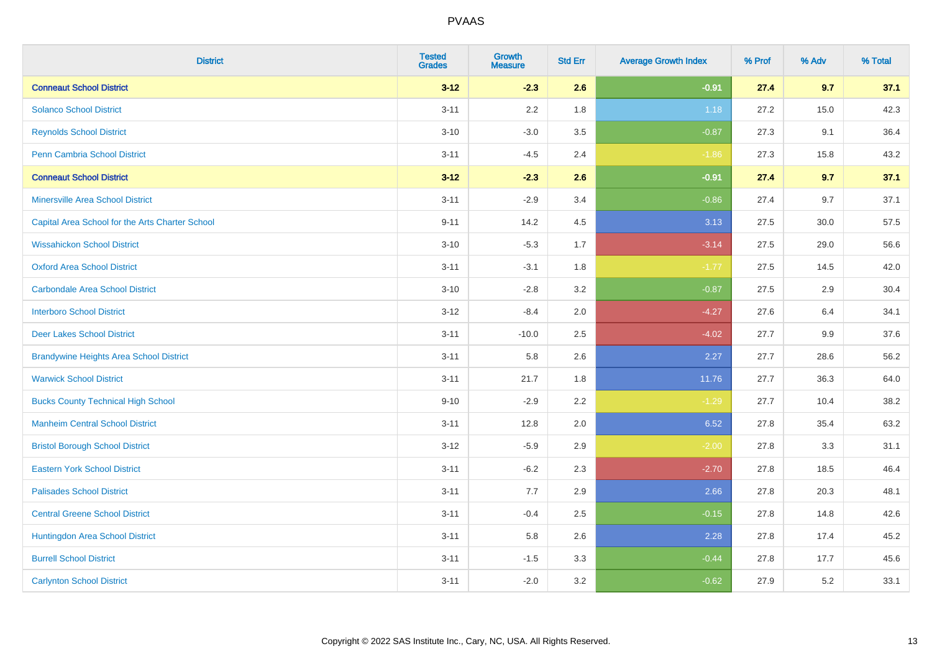| <b>District</b>                                 | <b>Tested</b><br><b>Grades</b> | <b>Growth</b><br><b>Measure</b> | <b>Std Err</b> | <b>Average Growth Index</b> | % Prof | % Adv | % Total |
|-------------------------------------------------|--------------------------------|---------------------------------|----------------|-----------------------------|--------|-------|---------|
| <b>Conneaut School District</b>                 | $3 - 12$                       | $-2.3$                          | 2.6            | $-0.91$                     | 27.4   | 9.7   | 37.1    |
| <b>Solanco School District</b>                  | $3 - 11$                       | 2.2                             | 1.8            | 1.18                        | 27.2   | 15.0  | 42.3    |
| <b>Reynolds School District</b>                 | $3 - 10$                       | $-3.0$                          | 3.5            | $-0.87$                     | 27.3   | 9.1   | 36.4    |
| Penn Cambria School District                    | $3 - 11$                       | $-4.5$                          | 2.4            | $-1.86$                     | 27.3   | 15.8  | 43.2    |
| <b>Conneaut School District</b>                 | $3 - 12$                       | $-2.3$                          | 2.6            | $-0.91$                     | 27.4   | 9.7   | 37.1    |
| <b>Minersville Area School District</b>         | $3 - 11$                       | $-2.9$                          | 3.4            | $-0.86$                     | 27.4   | 9.7   | 37.1    |
| Capital Area School for the Arts Charter School | $9 - 11$                       | 14.2                            | 4.5            | 3.13                        | 27.5   | 30.0  | 57.5    |
| <b>Wissahickon School District</b>              | $3 - 10$                       | $-5.3$                          | 1.7            | $-3.14$                     | 27.5   | 29.0  | 56.6    |
| <b>Oxford Area School District</b>              | $3 - 11$                       | $-3.1$                          | 1.8            | $-1.77$                     | 27.5   | 14.5  | 42.0    |
| <b>Carbondale Area School District</b>          | $3 - 10$                       | $-2.8$                          | 3.2            | $-0.87$                     | 27.5   | 2.9   | 30.4    |
| <b>Interboro School District</b>                | $3 - 12$                       | $-8.4$                          | 2.0            | $-4.27$                     | 27.6   | 6.4   | 34.1    |
| <b>Deer Lakes School District</b>               | $3 - 11$                       | $-10.0$                         | 2.5            | $-4.02$                     | 27.7   | 9.9   | 37.6    |
| <b>Brandywine Heights Area School District</b>  | $3 - 11$                       | 5.8                             | 2.6            | 2.27                        | 27.7   | 28.6  | 56.2    |
| <b>Warwick School District</b>                  | $3 - 11$                       | 21.7                            | 1.8            | 11.76                       | 27.7   | 36.3  | 64.0    |
| <b>Bucks County Technical High School</b>       | $9 - 10$                       | $-2.9$                          | 2.2            | $-1.29$                     | 27.7   | 10.4  | 38.2    |
| <b>Manheim Central School District</b>          | $3 - 11$                       | 12.8                            | 2.0            | 6.52                        | 27.8   | 35.4  | 63.2    |
| <b>Bristol Borough School District</b>          | $3 - 12$                       | $-5.9$                          | 2.9            | $-2.00$                     | 27.8   | 3.3   | 31.1    |
| <b>Eastern York School District</b>             | $3 - 11$                       | $-6.2$                          | 2.3            | $-2.70$                     | 27.8   | 18.5  | 46.4    |
| <b>Palisades School District</b>                | $3 - 11$                       | 7.7                             | 2.9            | 2.66                        | 27.8   | 20.3  | 48.1    |
| <b>Central Greene School District</b>           | $3 - 11$                       | $-0.4$                          | 2.5            | $-0.15$                     | 27.8   | 14.8  | 42.6    |
| Huntingdon Area School District                 | $3 - 11$                       | 5.8                             | 2.6            | 2.28                        | 27.8   | 17.4  | 45.2    |
| <b>Burrell School District</b>                  | $3 - 11$                       | $-1.5$                          | 3.3            | $-0.44$                     | 27.8   | 17.7  | 45.6    |
| <b>Carlynton School District</b>                | $3 - 11$                       | $-2.0$                          | 3.2            | $-0.62$                     | 27.9   | 5.2   | 33.1    |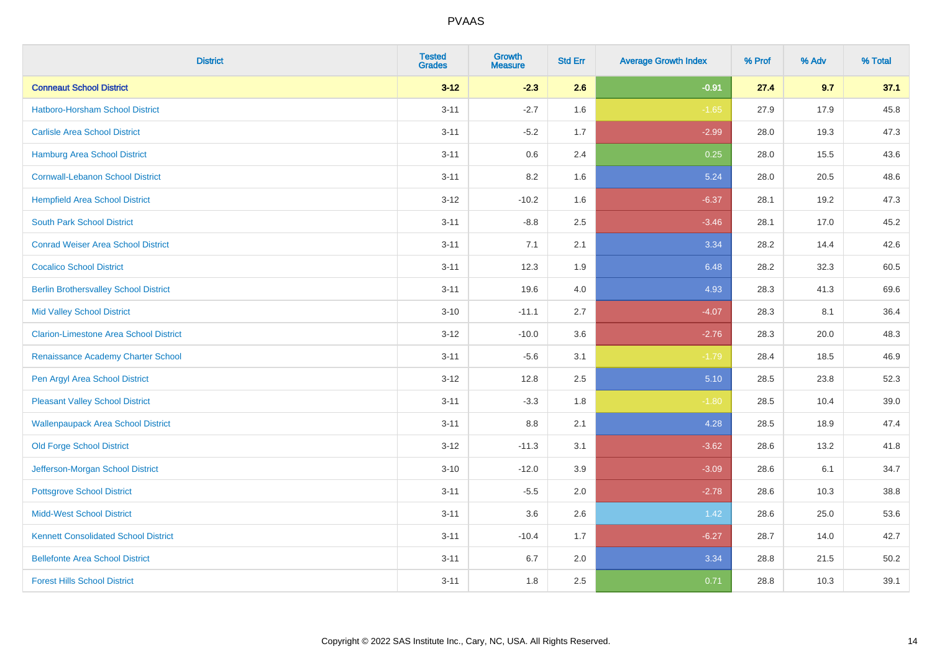| <b>District</b>                               | <b>Tested</b><br><b>Grades</b> | <b>Growth</b><br><b>Measure</b> | <b>Std Err</b> | <b>Average Growth Index</b> | % Prof | % Adv | % Total |
|-----------------------------------------------|--------------------------------|---------------------------------|----------------|-----------------------------|--------|-------|---------|
| <b>Conneaut School District</b>               | $3 - 12$                       | $-2.3$                          | 2.6            | $-0.91$                     | 27.4   | 9.7   | 37.1    |
| <b>Hatboro-Horsham School District</b>        | $3 - 11$                       | $-2.7$                          | 1.6            | $-1.65$                     | 27.9   | 17.9  | 45.8    |
| <b>Carlisle Area School District</b>          | $3 - 11$                       | $-5.2$                          | 1.7            | $-2.99$                     | 28.0   | 19.3  | 47.3    |
| <b>Hamburg Area School District</b>           | $3 - 11$                       | $0.6\,$                         | 2.4            | 0.25                        | 28.0   | 15.5  | 43.6    |
| <b>Cornwall-Lebanon School District</b>       | $3 - 11$                       | 8.2                             | 1.6            | 5.24                        | 28.0   | 20.5  | 48.6    |
| <b>Hempfield Area School District</b>         | $3 - 12$                       | $-10.2$                         | 1.6            | $-6.37$                     | 28.1   | 19.2  | 47.3    |
| <b>South Park School District</b>             | $3 - 11$                       | $-8.8$                          | 2.5            | $-3.46$                     | 28.1   | 17.0  | 45.2    |
| <b>Conrad Weiser Area School District</b>     | $3 - 11$                       | 7.1                             | 2.1            | 3.34                        | 28.2   | 14.4  | 42.6    |
| <b>Cocalico School District</b>               | $3 - 11$                       | 12.3                            | 1.9            | 6.48                        | 28.2   | 32.3  | 60.5    |
| <b>Berlin Brothersvalley School District</b>  | $3 - 11$                       | 19.6                            | 4.0            | 4.93                        | 28.3   | 41.3  | 69.6    |
| <b>Mid Valley School District</b>             | $3 - 10$                       | $-11.1$                         | 2.7            | $-4.07$                     | 28.3   | 8.1   | 36.4    |
| <b>Clarion-Limestone Area School District</b> | $3-12$                         | $-10.0$                         | 3.6            | $-2.76$                     | 28.3   | 20.0  | 48.3    |
| Renaissance Academy Charter School            | $3 - 11$                       | $-5.6$                          | 3.1            | $-1.79$                     | 28.4   | 18.5  | 46.9    |
| Pen Argyl Area School District                | $3 - 12$                       | 12.8                            | 2.5            | 5.10                        | 28.5   | 23.8  | 52.3    |
| <b>Pleasant Valley School District</b>        | $3 - 11$                       | $-3.3$                          | 1.8            | $-1.80$                     | 28.5   | 10.4  | 39.0    |
| <b>Wallenpaupack Area School District</b>     | $3 - 11$                       | 8.8                             | 2.1            | 4.28                        | 28.5   | 18.9  | 47.4    |
| <b>Old Forge School District</b>              | $3 - 12$                       | $-11.3$                         | 3.1            | $-3.62$                     | 28.6   | 13.2  | 41.8    |
| Jefferson-Morgan School District              | $3 - 10$                       | $-12.0$                         | 3.9            | $-3.09$                     | 28.6   | 6.1   | 34.7    |
| <b>Pottsgrove School District</b>             | $3 - 11$                       | $-5.5$                          | 2.0            | $-2.78$                     | 28.6   | 10.3  | 38.8    |
| <b>Midd-West School District</b>              | $3 - 11$                       | 3.6                             | 2.6            | 1.42                        | 28.6   | 25.0  | 53.6    |
| <b>Kennett Consolidated School District</b>   | $3 - 11$                       | $-10.4$                         | 1.7            | $-6.27$                     | 28.7   | 14.0  | 42.7    |
| <b>Bellefonte Area School District</b>        | $3 - 11$                       | $6.7\,$                         | 2.0            | 3.34                        | 28.8   | 21.5  | 50.2    |
| <b>Forest Hills School District</b>           | $3 - 11$                       | 1.8                             | 2.5            | 0.71                        | 28.8   | 10.3  | 39.1    |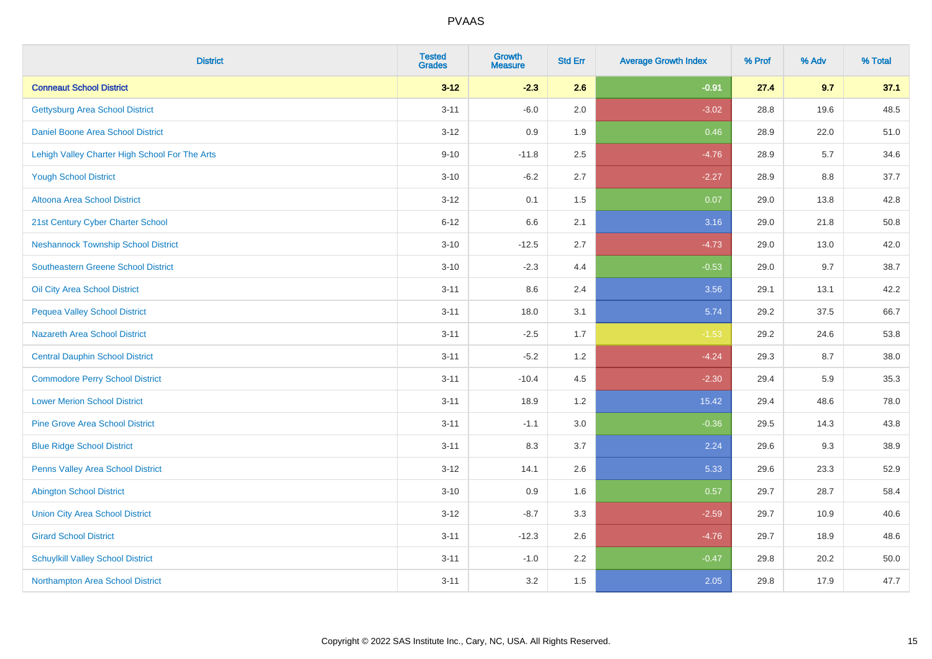| <b>District</b>                                | <b>Tested</b><br><b>Grades</b> | <b>Growth</b><br><b>Measure</b> | <b>Std Err</b> | <b>Average Growth Index</b> | % Prof | % Adv | % Total |
|------------------------------------------------|--------------------------------|---------------------------------|----------------|-----------------------------|--------|-------|---------|
| <b>Conneaut School District</b>                | $3 - 12$                       | $-2.3$                          | 2.6            | $-0.91$                     | 27.4   | 9.7   | 37.1    |
| <b>Gettysburg Area School District</b>         | $3 - 11$                       | $-6.0$                          | 2.0            | $-3.02$                     | 28.8   | 19.6  | 48.5    |
| Daniel Boone Area School District              | $3 - 12$                       | 0.9                             | 1.9            | 0.46                        | 28.9   | 22.0  | 51.0    |
| Lehigh Valley Charter High School For The Arts | $9 - 10$                       | $-11.8$                         | 2.5            | $-4.76$                     | 28.9   | 5.7   | 34.6    |
| <b>Yough School District</b>                   | $3 - 10$                       | $-6.2$                          | 2.7            | $-2.27$                     | 28.9   | 8.8   | 37.7    |
| <b>Altoona Area School District</b>            | $3 - 12$                       | 0.1                             | 1.5            | 0.07                        | 29.0   | 13.8  | 42.8    |
| 21st Century Cyber Charter School              | $6 - 12$                       | 6.6                             | 2.1            | 3.16                        | 29.0   | 21.8  | 50.8    |
| <b>Neshannock Township School District</b>     | $3 - 10$                       | $-12.5$                         | 2.7            | $-4.73$                     | 29.0   | 13.0  | 42.0    |
| <b>Southeastern Greene School District</b>     | $3 - 10$                       | $-2.3$                          | 4.4            | $-0.53$                     | 29.0   | 9.7   | 38.7    |
| Oil City Area School District                  | $3 - 11$                       | 8.6                             | 2.4            | 3.56                        | 29.1   | 13.1  | 42.2    |
| <b>Pequea Valley School District</b>           | $3 - 11$                       | 18.0                            | 3.1            | 5.74                        | 29.2   | 37.5  | 66.7    |
| <b>Nazareth Area School District</b>           | $3 - 11$                       | $-2.5$                          | 1.7            | $-1.53$                     | 29.2   | 24.6  | 53.8    |
| <b>Central Dauphin School District</b>         | $3 - 11$                       | $-5.2$                          | 1.2            | $-4.24$                     | 29.3   | 8.7   | 38.0    |
| <b>Commodore Perry School District</b>         | $3 - 11$                       | $-10.4$                         | 4.5            | $-2.30$                     | 29.4   | 5.9   | 35.3    |
| <b>Lower Merion School District</b>            | $3 - 11$                       | 18.9                            | 1.2            | 15.42                       | 29.4   | 48.6  | 78.0    |
| <b>Pine Grove Area School District</b>         | $3 - 11$                       | $-1.1$                          | 3.0            | $-0.36$                     | 29.5   | 14.3  | 43.8    |
| <b>Blue Ridge School District</b>              | $3 - 11$                       | 8.3                             | 3.7            | 2.24                        | 29.6   | 9.3   | 38.9    |
| Penns Valley Area School District              | $3 - 12$                       | 14.1                            | 2.6            | 5.33                        | 29.6   | 23.3  | 52.9    |
| <b>Abington School District</b>                | $3 - 10$                       | 0.9                             | 1.6            | 0.57                        | 29.7   | 28.7  | 58.4    |
| <b>Union City Area School District</b>         | $3 - 12$                       | $-8.7$                          | 3.3            | $-2.59$                     | 29.7   | 10.9  | 40.6    |
| <b>Girard School District</b>                  | $3 - 11$                       | $-12.3$                         | 2.6            | $-4.76$                     | 29.7   | 18.9  | 48.6    |
| <b>Schuylkill Valley School District</b>       | $3 - 11$                       | $-1.0$                          | 2.2            | $-0.47$                     | 29.8   | 20.2  | 50.0    |
| Northampton Area School District               | $3 - 11$                       | 3.2                             | 1.5            | 2.05                        | 29.8   | 17.9  | 47.7    |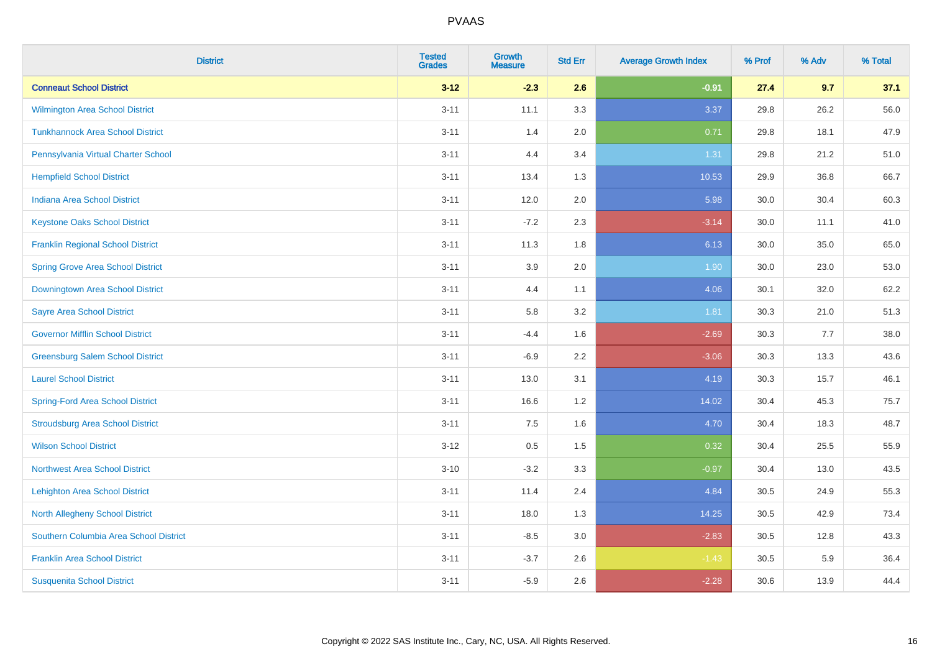| <b>District</b>                          | <b>Tested</b><br><b>Grades</b> | <b>Growth</b><br><b>Measure</b> | <b>Std Err</b> | <b>Average Growth Index</b> | % Prof | % Adv | % Total |
|------------------------------------------|--------------------------------|---------------------------------|----------------|-----------------------------|--------|-------|---------|
| <b>Conneaut School District</b>          | $3 - 12$                       | $-2.3$                          | 2.6            | $-0.91$                     | 27.4   | 9.7   | 37.1    |
| Wilmington Area School District          | $3 - 11$                       | 11.1                            | 3.3            | 3.37                        | 29.8   | 26.2  | 56.0    |
| <b>Tunkhannock Area School District</b>  | $3 - 11$                       | 1.4                             | 2.0            | 0.71                        | 29.8   | 18.1  | 47.9    |
| Pennsylvania Virtual Charter School      | $3 - 11$                       | 4.4                             | 3.4            | 1.31                        | 29.8   | 21.2  | 51.0    |
| <b>Hempfield School District</b>         | $3 - 11$                       | 13.4                            | 1.3            | 10.53                       | 29.9   | 36.8  | 66.7    |
| <b>Indiana Area School District</b>      | $3 - 11$                       | 12.0                            | 2.0            | 5.98                        | 30.0   | 30.4  | 60.3    |
| <b>Keystone Oaks School District</b>     | $3 - 11$                       | $-7.2$                          | 2.3            | $-3.14$                     | 30.0   | 11.1  | 41.0    |
| <b>Franklin Regional School District</b> | $3 - 11$                       | 11.3                            | 1.8            | 6.13                        | 30.0   | 35.0  | 65.0    |
| <b>Spring Grove Area School District</b> | $3 - 11$                       | 3.9                             | 2.0            | 1.90                        | 30.0   | 23.0  | 53.0    |
| Downingtown Area School District         | $3 - 11$                       | 4.4                             | 1.1            | 4.06                        | 30.1   | 32.0  | 62.2    |
| <b>Sayre Area School District</b>        | $3 - 11$                       | 5.8                             | 3.2            | 1.81                        | 30.3   | 21.0  | 51.3    |
| <b>Governor Mifflin School District</b>  | $3 - 11$                       | $-4.4$                          | 1.6            | $-2.69$                     | 30.3   | 7.7   | 38.0    |
| <b>Greensburg Salem School District</b>  | $3 - 11$                       | $-6.9$                          | 2.2            | $-3.06$                     | 30.3   | 13.3  | 43.6    |
| <b>Laurel School District</b>            | $3 - 11$                       | 13.0                            | 3.1            | 4.19                        | 30.3   | 15.7  | 46.1    |
| <b>Spring-Ford Area School District</b>  | $3 - 11$                       | 16.6                            | 1.2            | 14.02                       | 30.4   | 45.3  | 75.7    |
| <b>Stroudsburg Area School District</b>  | $3 - 11$                       | $7.5\,$                         | 1.6            | 4.70                        | 30.4   | 18.3  | 48.7    |
| <b>Wilson School District</b>            | $3 - 12$                       | $0.5\,$                         | 1.5            | 0.32                        | 30.4   | 25.5  | 55.9    |
| <b>Northwest Area School District</b>    | $3 - 10$                       | $-3.2$                          | 3.3            | $-0.97$                     | 30.4   | 13.0  | 43.5    |
| <b>Lehighton Area School District</b>    | $3 - 11$                       | 11.4                            | 2.4            | 4.84                        | 30.5   | 24.9  | 55.3    |
| <b>North Allegheny School District</b>   | $3 - 11$                       | 18.0                            | 1.3            | 14.25                       | 30.5   | 42.9  | 73.4    |
| Southern Columbia Area School District   | $3 - 11$                       | $-8.5$                          | 3.0            | $-2.83$                     | 30.5   | 12.8  | 43.3    |
| <b>Franklin Area School District</b>     | $3 - 11$                       | $-3.7$                          | 2.6            | $-1.43$                     | 30.5   | 5.9   | 36.4    |
| <b>Susquenita School District</b>        | $3 - 11$                       | $-5.9$                          | 2.6            | $-2.28$                     | 30.6   | 13.9  | 44.4    |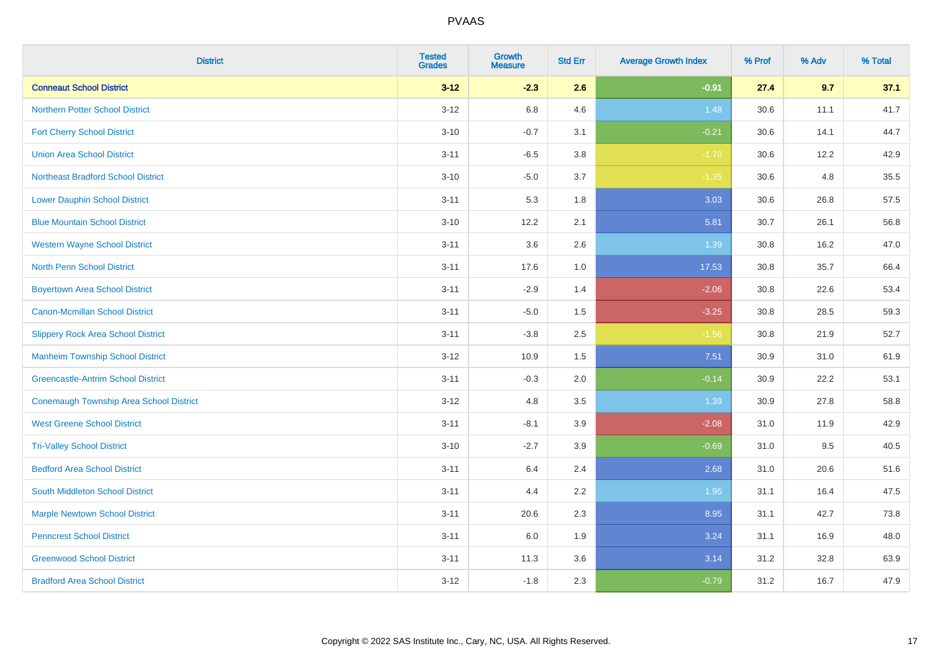| <b>District</b>                                | <b>Tested</b><br><b>Grades</b> | Growth<br><b>Measure</b> | <b>Std Err</b> | <b>Average Growth Index</b> | % Prof | % Adv | % Total |
|------------------------------------------------|--------------------------------|--------------------------|----------------|-----------------------------|--------|-------|---------|
| <b>Conneaut School District</b>                | $3 - 12$                       | $-2.3$                   | 2.6            | $-0.91$                     | 27.4   | 9.7   | 37.1    |
| <b>Northern Potter School District</b>         | $3 - 12$                       | 6.8                      | 4.6            | 1.48                        | 30.6   | 11.1  | 41.7    |
| <b>Fort Cherry School District</b>             | $3 - 10$                       | $-0.7$                   | 3.1            | $-0.21$                     | 30.6   | 14.1  | 44.7    |
| <b>Union Area School District</b>              | $3 - 11$                       | $-6.5$                   | 3.8            | $-1.70$                     | 30.6   | 12.2  | 42.9    |
| <b>Northeast Bradford School District</b>      | $3 - 10$                       | $-5.0$                   | 3.7            | $-1.35$                     | 30.6   | 4.8   | 35.5    |
| <b>Lower Dauphin School District</b>           | $3 - 11$                       | 5.3                      | 1.8            | 3.03                        | 30.6   | 26.8  | 57.5    |
| <b>Blue Mountain School District</b>           | $3 - 10$                       | 12.2                     | 2.1            | 5.81                        | 30.7   | 26.1  | 56.8    |
| <b>Western Wayne School District</b>           | $3 - 11$                       | 3.6                      | 2.6            | 1.39                        | 30.8   | 16.2  | 47.0    |
| <b>North Penn School District</b>              | $3 - 11$                       | 17.6                     | 1.0            | 17.53                       | 30.8   | 35.7  | 66.4    |
| <b>Boyertown Area School District</b>          | $3 - 11$                       | $-2.9$                   | 1.4            | $-2.06$                     | 30.8   | 22.6  | 53.4    |
| <b>Canon-Mcmillan School District</b>          | $3 - 11$                       | $-5.0$                   | 1.5            | $-3.25$                     | 30.8   | 28.5  | 59.3    |
| <b>Slippery Rock Area School District</b>      | $3 - 11$                       | $-3.8$                   | 2.5            | $-1.56$                     | 30.8   | 21.9  | 52.7    |
| <b>Manheim Township School District</b>        | $3 - 12$                       | 10.9                     | 1.5            | 7.51                        | 30.9   | 31.0  | 61.9    |
| <b>Greencastle-Antrim School District</b>      | $3 - 11$                       | $-0.3$                   | 2.0            | $-0.14$                     | 30.9   | 22.2  | 53.1    |
| <b>Conemaugh Township Area School District</b> | $3 - 12$                       | 4.8                      | 3.5            | 1.39                        | 30.9   | 27.8  | 58.8    |
| <b>West Greene School District</b>             | $3 - 11$                       | $-8.1$                   | 3.9            | $-2.08$                     | 31.0   | 11.9  | 42.9    |
| <b>Tri-Valley School District</b>              | $3 - 10$                       | $-2.7$                   | 3.9            | $-0.69$                     | 31.0   | 9.5   | 40.5    |
| <b>Bedford Area School District</b>            | $3 - 11$                       | 6.4                      | 2.4            | 2.68                        | 31.0   | 20.6  | 51.6    |
| South Middleton School District                | $3 - 11$                       | 4.4                      | 2.2            | 1.95                        | 31.1   | 16.4  | 47.5    |
| <b>Marple Newtown School District</b>          | $3 - 11$                       | 20.6                     | 2.3            | 8.95                        | 31.1   | 42.7  | 73.8    |
| <b>Penncrest School District</b>               | $3 - 11$                       | 6.0                      | 1.9            | 3.24                        | 31.1   | 16.9  | 48.0    |
| <b>Greenwood School District</b>               | $3 - 11$                       | 11.3                     | 3.6            | 3.14                        | 31.2   | 32.8  | 63.9    |
| <b>Bradford Area School District</b>           | $3 - 12$                       | $-1.8$                   | 2.3            | $-0.79$                     | 31.2   | 16.7  | 47.9    |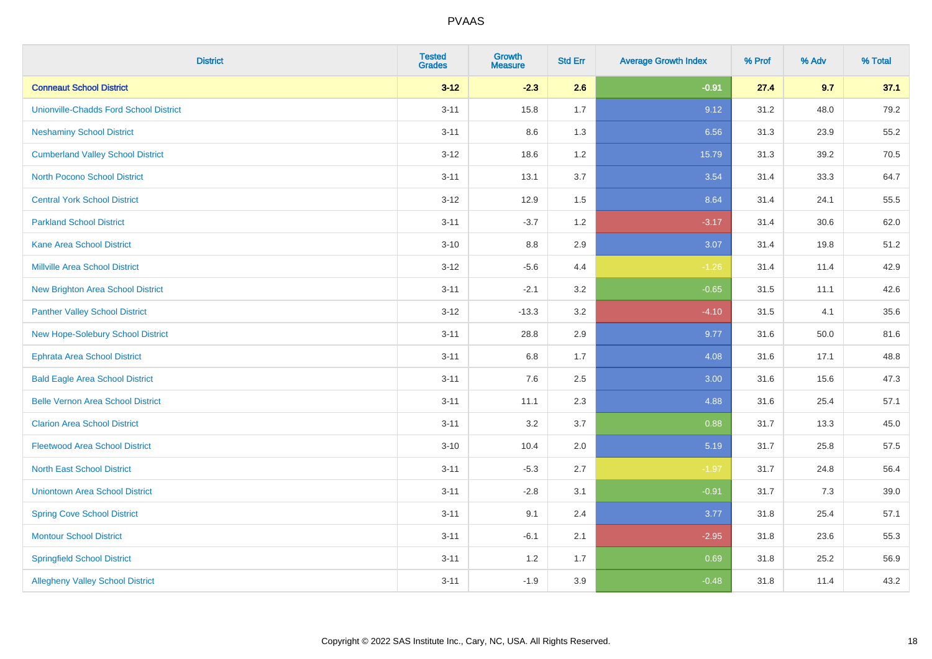| <b>District</b>                               | <b>Tested</b><br><b>Grades</b> | <b>Growth</b><br><b>Measure</b> | <b>Std Err</b> | <b>Average Growth Index</b> | % Prof | % Adv | % Total |
|-----------------------------------------------|--------------------------------|---------------------------------|----------------|-----------------------------|--------|-------|---------|
| <b>Conneaut School District</b>               | $3 - 12$                       | $-2.3$                          | 2.6            | $-0.91$                     | 27.4   | 9.7   | 37.1    |
| <b>Unionville-Chadds Ford School District</b> | $3 - 11$                       | 15.8                            | 1.7            | 9.12                        | 31.2   | 48.0  | 79.2    |
| <b>Neshaminy School District</b>              | $3 - 11$                       | 8.6                             | 1.3            | 6.56                        | 31.3   | 23.9  | 55.2    |
| <b>Cumberland Valley School District</b>      | $3 - 12$                       | 18.6                            | 1.2            | 15.79                       | 31.3   | 39.2  | 70.5    |
| <b>North Pocono School District</b>           | $3 - 11$                       | 13.1                            | 3.7            | 3.54                        | 31.4   | 33.3  | 64.7    |
| <b>Central York School District</b>           | $3 - 12$                       | 12.9                            | 1.5            | 8.64                        | 31.4   | 24.1  | 55.5    |
| <b>Parkland School District</b>               | $3 - 11$                       | $-3.7$                          | 1.2            | $-3.17$                     | 31.4   | 30.6  | 62.0    |
| <b>Kane Area School District</b>              | $3 - 10$                       | 8.8                             | 2.9            | 3.07                        | 31.4   | 19.8  | 51.2    |
| <b>Millville Area School District</b>         | $3 - 12$                       | $-5.6$                          | 4.4            | $-1.26$                     | 31.4   | 11.4  | 42.9    |
| <b>New Brighton Area School District</b>      | $3 - 11$                       | $-2.1$                          | 3.2            | $-0.65$                     | 31.5   | 11.1  | 42.6    |
| <b>Panther Valley School District</b>         | $3-12$                         | $-13.3$                         | 3.2            | $-4.10$                     | 31.5   | 4.1   | 35.6    |
| New Hope-Solebury School District             | $3 - 11$                       | 28.8                            | 2.9            | 9.77                        | 31.6   | 50.0  | 81.6    |
| <b>Ephrata Area School District</b>           | $3 - 11$                       | $6.8\,$                         | 1.7            | 4.08                        | 31.6   | 17.1  | 48.8    |
| <b>Bald Eagle Area School District</b>        | $3 - 11$                       | 7.6                             | 2.5            | 3.00                        | 31.6   | 15.6  | 47.3    |
| <b>Belle Vernon Area School District</b>      | $3 - 11$                       | 11.1                            | 2.3            | 4.88                        | 31.6   | 25.4  | 57.1    |
| <b>Clarion Area School District</b>           | $3 - 11$                       | 3.2                             | 3.7            | 0.88                        | 31.7   | 13.3  | 45.0    |
| <b>Fleetwood Area School District</b>         | $3 - 10$                       | 10.4                            | 2.0            | 5.19                        | 31.7   | 25.8  | 57.5    |
| <b>North East School District</b>             | $3 - 11$                       | $-5.3$                          | 2.7            | $-1.97$                     | 31.7   | 24.8  | 56.4    |
| <b>Uniontown Area School District</b>         | $3 - 11$                       | $-2.8$                          | 3.1            | $-0.91$                     | 31.7   | 7.3   | 39.0    |
| <b>Spring Cove School District</b>            | $3 - 11$                       | 9.1                             | 2.4            | 3.77                        | 31.8   | 25.4  | 57.1    |
| <b>Montour School District</b>                | $3 - 11$                       | $-6.1$                          | 2.1            | $-2.95$                     | 31.8   | 23.6  | 55.3    |
| <b>Springfield School District</b>            | $3 - 11$                       | 1.2                             | 1.7            | 0.69                        | 31.8   | 25.2  | 56.9    |
| <b>Allegheny Valley School District</b>       | $3 - 11$                       | $-1.9$                          | 3.9            | $-0.48$                     | 31.8   | 11.4  | 43.2    |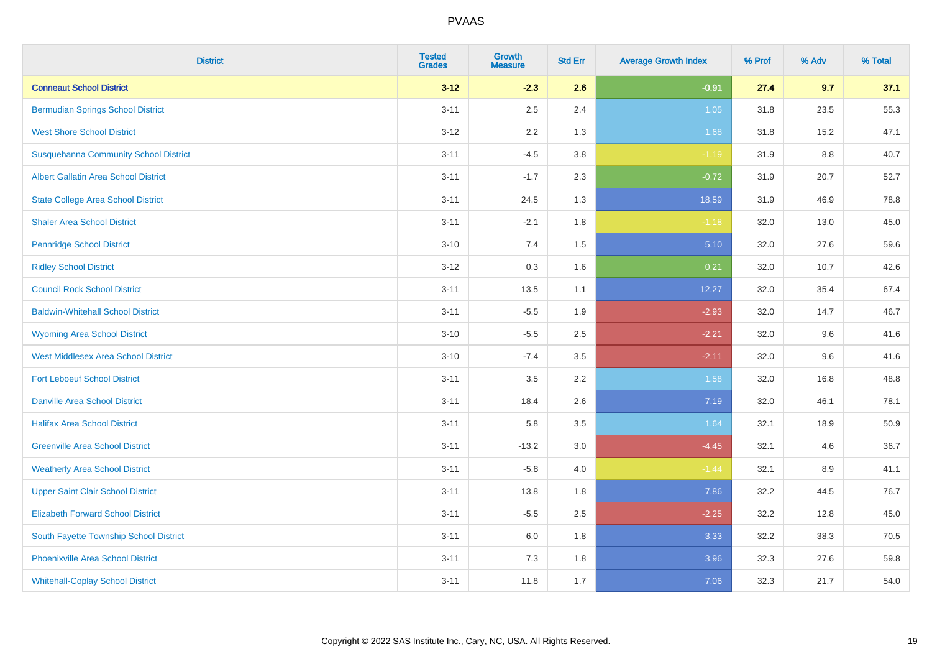| <b>District</b>                              | <b>Tested</b><br><b>Grades</b> | Growth<br><b>Measure</b> | <b>Std Err</b> | <b>Average Growth Index</b> | % Prof | % Adv   | % Total |
|----------------------------------------------|--------------------------------|--------------------------|----------------|-----------------------------|--------|---------|---------|
| <b>Conneaut School District</b>              | $3 - 12$                       | $-2.3$                   | 2.6            | $-0.91$                     | 27.4   | 9.7     | 37.1    |
| <b>Bermudian Springs School District</b>     | $3 - 11$                       | 2.5                      | 2.4            | 1.05                        | 31.8   | 23.5    | 55.3    |
| <b>West Shore School District</b>            | $3 - 12$                       | 2.2                      | 1.3            | 1.68                        | 31.8   | 15.2    | 47.1    |
| <b>Susquehanna Community School District</b> | $3 - 11$                       | $-4.5$                   | 3.8            | $-1.19$                     | 31.9   | $8.8\,$ | 40.7    |
| <b>Albert Gallatin Area School District</b>  | $3 - 11$                       | $-1.7$                   | 2.3            | $-0.72$                     | 31.9   | 20.7    | 52.7    |
| <b>State College Area School District</b>    | $3 - 11$                       | 24.5                     | 1.3            | 18.59                       | 31.9   | 46.9    | 78.8    |
| <b>Shaler Area School District</b>           | $3 - 11$                       | $-2.1$                   | 1.8            | $-1.18$                     | 32.0   | 13.0    | 45.0    |
| <b>Pennridge School District</b>             | $3 - 10$                       | 7.4                      | 1.5            | 5.10                        | 32.0   | 27.6    | 59.6    |
| <b>Ridley School District</b>                | $3 - 12$                       | 0.3                      | 1.6            | 0.21                        | 32.0   | 10.7    | 42.6    |
| <b>Council Rock School District</b>          | $3 - 11$                       | 13.5                     | 1.1            | 12.27                       | 32.0   | 35.4    | 67.4    |
| <b>Baldwin-Whitehall School District</b>     | $3 - 11$                       | $-5.5$                   | 1.9            | $-2.93$                     | 32.0   | 14.7    | 46.7    |
| <b>Wyoming Area School District</b>          | $3 - 10$                       | $-5.5$                   | 2.5            | $-2.21$                     | 32.0   | 9.6     | 41.6    |
| <b>West Middlesex Area School District</b>   | $3 - 10$                       | $-7.4$                   | 3.5            | $-2.11$                     | 32.0   | 9.6     | 41.6    |
| <b>Fort Leboeuf School District</b>          | $3 - 11$                       | 3.5                      | 2.2            | 1.58                        | 32.0   | 16.8    | 48.8    |
| <b>Danville Area School District</b>         | $3 - 11$                       | 18.4                     | 2.6            | 7.19                        | 32.0   | 46.1    | 78.1    |
| <b>Halifax Area School District</b>          | $3 - 11$                       | 5.8                      | 3.5            | 1.64                        | 32.1   | 18.9    | 50.9    |
| <b>Greenville Area School District</b>       | $3 - 11$                       | $-13.2$                  | 3.0            | $-4.45$                     | 32.1   | 4.6     | 36.7    |
| <b>Weatherly Area School District</b>        | $3 - 11$                       | $-5.8$                   | 4.0            | $-1.44$                     | 32.1   | 8.9     | 41.1    |
| <b>Upper Saint Clair School District</b>     | $3 - 11$                       | 13.8                     | 1.8            | 7.86                        | 32.2   | 44.5    | 76.7    |
| <b>Elizabeth Forward School District</b>     | $3 - 11$                       | $-5.5$                   | 2.5            | $-2.25$                     | 32.2   | 12.8    | 45.0    |
| South Fayette Township School District       | $3 - 11$                       | 6.0                      | 1.8            | 3.33                        | 32.2   | 38.3    | 70.5    |
| <b>Phoenixville Area School District</b>     | $3 - 11$                       | 7.3                      | 1.8            | 3.96                        | 32.3   | 27.6    | 59.8    |
| <b>Whitehall-Coplay School District</b>      | $3 - 11$                       | 11.8                     | 1.7            | 7.06                        | 32.3   | 21.7    | 54.0    |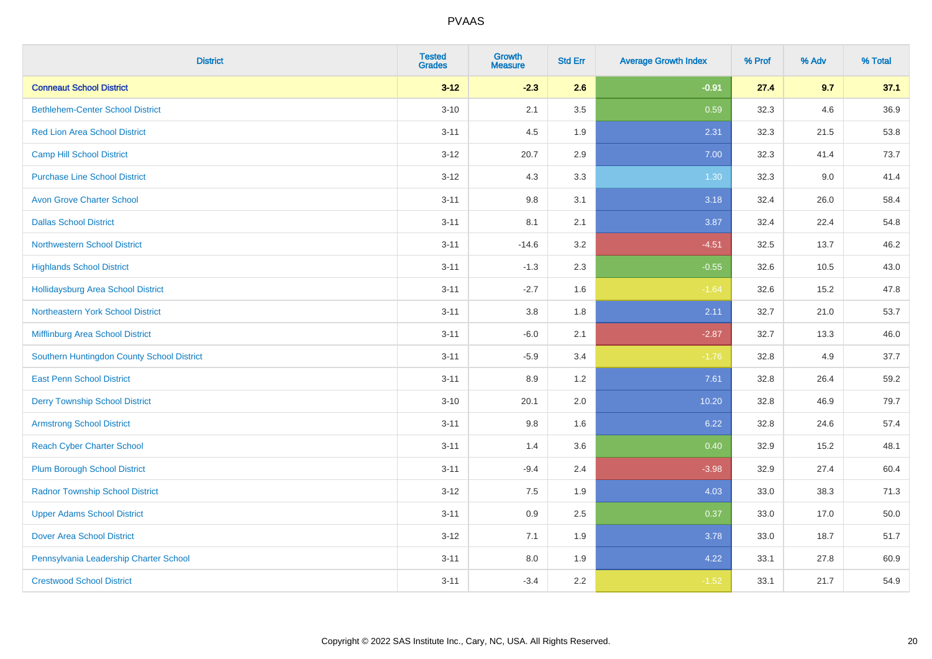| <b>District</b>                            | <b>Tested</b><br><b>Grades</b> | <b>Growth</b><br><b>Measure</b> | <b>Std Err</b> | <b>Average Growth Index</b> | % Prof | % Adv | % Total |
|--------------------------------------------|--------------------------------|---------------------------------|----------------|-----------------------------|--------|-------|---------|
| <b>Conneaut School District</b>            | $3 - 12$                       | $-2.3$                          | 2.6            | $-0.91$                     | 27.4   | 9.7   | 37.1    |
| <b>Bethlehem-Center School District</b>    | $3 - 10$                       | 2.1                             | 3.5            | 0.59                        | 32.3   | 4.6   | 36.9    |
| <b>Red Lion Area School District</b>       | $3 - 11$                       | 4.5                             | 1.9            | 2.31                        | 32.3   | 21.5  | 53.8    |
| <b>Camp Hill School District</b>           | $3 - 12$                       | 20.7                            | 2.9            | 7.00                        | 32.3   | 41.4  | 73.7    |
| <b>Purchase Line School District</b>       | $3-12$                         | 4.3                             | 3.3            | 1.30                        | 32.3   | 9.0   | 41.4    |
| <b>Avon Grove Charter School</b>           | $3 - 11$                       | 9.8                             | 3.1            | 3.18                        | 32.4   | 26.0  | 58.4    |
| <b>Dallas School District</b>              | $3 - 11$                       | 8.1                             | 2.1            | 3.87                        | 32.4   | 22.4  | 54.8    |
| <b>Northwestern School District</b>        | $3 - 11$                       | $-14.6$                         | 3.2            | $-4.51$                     | 32.5   | 13.7  | 46.2    |
| <b>Highlands School District</b>           | $3 - 11$                       | $-1.3$                          | 2.3            | $-0.55$                     | 32.6   | 10.5  | 43.0    |
| <b>Hollidaysburg Area School District</b>  | $3 - 11$                       | $-2.7$                          | 1.6            | $-1.64$                     | 32.6   | 15.2  | 47.8    |
| Northeastern York School District          | $3 - 11$                       | 3.8                             | 1.8            | 2.11                        | 32.7   | 21.0  | 53.7    |
| Mifflinburg Area School District           | $3 - 11$                       | $-6.0$                          | 2.1            | $-2.87$                     | 32.7   | 13.3  | 46.0    |
| Southern Huntingdon County School District | $3 - 11$                       | $-5.9$                          | 3.4            | $-1.76$                     | 32.8   | 4.9   | 37.7    |
| <b>East Penn School District</b>           | $3 - 11$                       | 8.9                             | 1.2            | 7.61                        | 32.8   | 26.4  | 59.2    |
| <b>Derry Township School District</b>      | $3 - 10$                       | 20.1                            | 2.0            | 10.20                       | 32.8   | 46.9  | 79.7    |
| <b>Armstrong School District</b>           | $3 - 11$                       | $9.8\,$                         | 1.6            | 6.22                        | 32.8   | 24.6  | 57.4    |
| <b>Reach Cyber Charter School</b>          | $3 - 11$                       | 1.4                             | 3.6            | 0.40                        | 32.9   | 15.2  | 48.1    |
| <b>Plum Borough School District</b>        | $3 - 11$                       | $-9.4$                          | 2.4            | $-3.98$                     | 32.9   | 27.4  | 60.4    |
| <b>Radnor Township School District</b>     | $3 - 12$                       | $7.5\,$                         | 1.9            | 4.03                        | 33.0   | 38.3  | 71.3    |
| <b>Upper Adams School District</b>         | $3 - 11$                       | $0.9\,$                         | 2.5            | 0.37                        | 33.0   | 17.0  | 50.0    |
| <b>Dover Area School District</b>          | $3 - 12$                       | 7.1                             | 1.9            | 3.78                        | 33.0   | 18.7  | 51.7    |
| Pennsylvania Leadership Charter School     | $3 - 11$                       | $8.0\,$                         | 1.9            | 4.22                        | 33.1   | 27.8  | 60.9    |
| <b>Crestwood School District</b>           | $3 - 11$                       | $-3.4$                          | 2.2            | $-1.52$                     | 33.1   | 21.7  | 54.9    |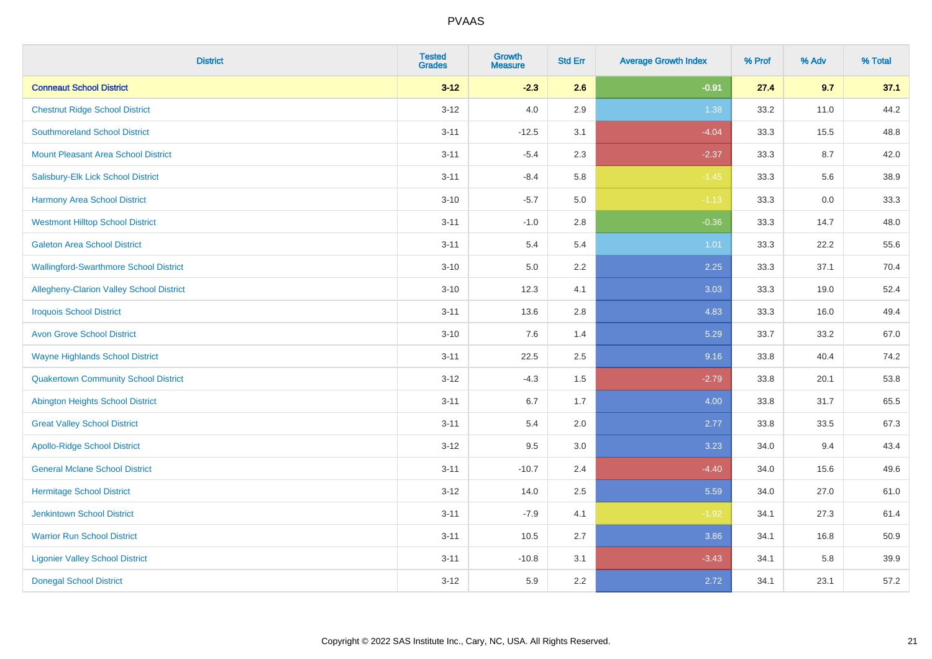| <b>District</b>                                 | <b>Tested</b><br><b>Grades</b> | <b>Growth</b><br><b>Measure</b> | <b>Std Err</b> | <b>Average Growth Index</b> | % Prof | % Adv | % Total |
|-------------------------------------------------|--------------------------------|---------------------------------|----------------|-----------------------------|--------|-------|---------|
| <b>Conneaut School District</b>                 | $3 - 12$                       | $-2.3$                          | 2.6            | $-0.91$                     | 27.4   | 9.7   | 37.1    |
| <b>Chestnut Ridge School District</b>           | $3 - 12$                       | 4.0                             | 2.9            | 1.38                        | 33.2   | 11.0  | 44.2    |
| <b>Southmoreland School District</b>            | $3 - 11$                       | $-12.5$                         | 3.1            | $-4.04$                     | 33.3   | 15.5  | 48.8    |
| <b>Mount Pleasant Area School District</b>      | $3 - 11$                       | $-5.4$                          | 2.3            | $-2.37$                     | 33.3   | 8.7   | 42.0    |
| Salisbury-Elk Lick School District              | $3 - 11$                       | $-8.4$                          | 5.8            | $-1.45$                     | 33.3   | 5.6   | 38.9    |
| <b>Harmony Area School District</b>             | $3 - 10$                       | $-5.7$                          | 5.0            | $-1.13$                     | 33.3   | 0.0   | 33.3    |
| <b>Westmont Hilltop School District</b>         | $3 - 11$                       | $-1.0$                          | 2.8            | $-0.36$                     | 33.3   | 14.7  | 48.0    |
| <b>Galeton Area School District</b>             | $3 - 11$                       | 5.4                             | 5.4            | 1.01                        | 33.3   | 22.2  | 55.6    |
| <b>Wallingford-Swarthmore School District</b>   | $3 - 10$                       | 5.0                             | 2.2            | 2.25                        | 33.3   | 37.1  | 70.4    |
| <b>Allegheny-Clarion Valley School District</b> | $3 - 10$                       | 12.3                            | 4.1            | 3.03                        | 33.3   | 19.0  | 52.4    |
| <b>Iroquois School District</b>                 | $3 - 11$                       | 13.6                            | 2.8            | 4.83                        | 33.3   | 16.0  | 49.4    |
| <b>Avon Grove School District</b>               | $3 - 10$                       | 7.6                             | 1.4            | 5.29                        | 33.7   | 33.2  | 67.0    |
| <b>Wayne Highlands School District</b>          | $3 - 11$                       | 22.5                            | 2.5            | 9.16                        | 33.8   | 40.4  | 74.2    |
| <b>Quakertown Community School District</b>     | $3 - 12$                       | $-4.3$                          | 1.5            | $-2.79$                     | 33.8   | 20.1  | 53.8    |
| <b>Abington Heights School District</b>         | $3 - 11$                       | 6.7                             | 1.7            | 4.00                        | 33.8   | 31.7  | 65.5    |
| <b>Great Valley School District</b>             | $3 - 11$                       | 5.4                             | 2.0            | 2.77                        | 33.8   | 33.5  | 67.3    |
| <b>Apollo-Ridge School District</b>             | $3 - 12$                       | 9.5                             | 3.0            | 3.23                        | 34.0   | 9.4   | 43.4    |
| <b>General Mclane School District</b>           | $3 - 11$                       | $-10.7$                         | 2.4            | $-4.40$                     | 34.0   | 15.6  | 49.6    |
| <b>Hermitage School District</b>                | $3 - 12$                       | 14.0                            | 2.5            | 5.59                        | 34.0   | 27.0  | 61.0    |
| <b>Jenkintown School District</b>               | $3 - 11$                       | $-7.9$                          | 4.1            | $-1.92$                     | 34.1   | 27.3  | 61.4    |
| <b>Warrior Run School District</b>              | $3 - 11$                       | 10.5                            | 2.7            | 3.86                        | 34.1   | 16.8  | 50.9    |
| <b>Ligonier Valley School District</b>          | $3 - 11$                       | $-10.8$                         | 3.1            | $-3.43$                     | 34.1   | 5.8   | 39.9    |
| <b>Donegal School District</b>                  | $3 - 12$                       | 5.9                             | 2.2            | 2.72                        | 34.1   | 23.1  | 57.2    |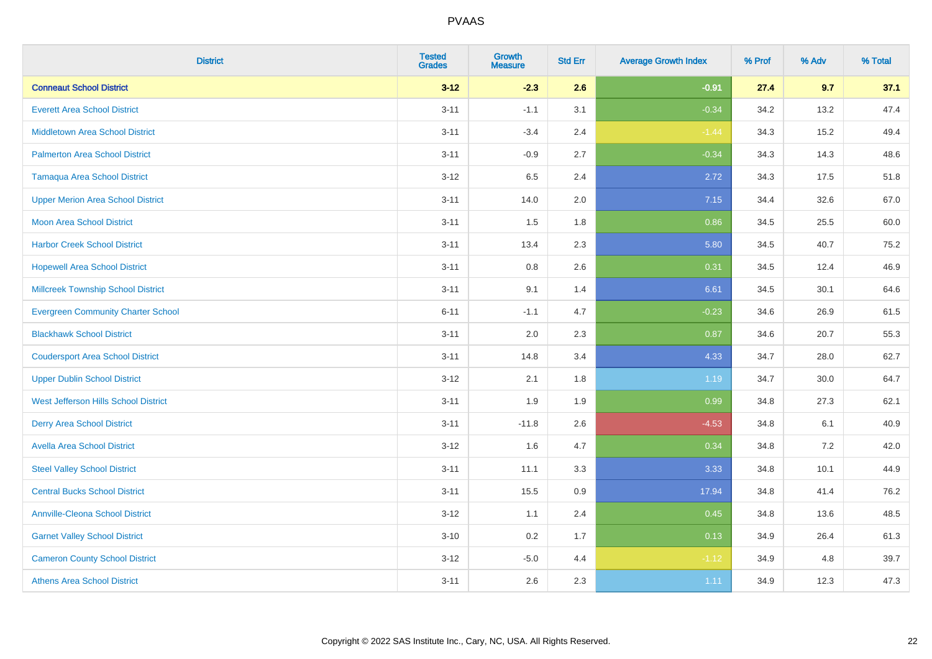| <b>District</b>                           | <b>Tested</b><br><b>Grades</b> | <b>Growth</b><br><b>Measure</b> | <b>Std Err</b> | <b>Average Growth Index</b> | % Prof | % Adv    | % Total |
|-------------------------------------------|--------------------------------|---------------------------------|----------------|-----------------------------|--------|----------|---------|
| <b>Conneaut School District</b>           | $3 - 12$                       | $-2.3$                          | 2.6            | $-0.91$                     | 27.4   | 9.7      | 37.1    |
| <b>Everett Area School District</b>       | $3 - 11$                       | $-1.1$                          | 3.1            | $-0.34$                     | 34.2   | 13.2     | 47.4    |
| <b>Middletown Area School District</b>    | $3 - 11$                       | $-3.4$                          | 2.4            | $-1.44$                     | 34.3   | 15.2     | 49.4    |
| <b>Palmerton Area School District</b>     | $3 - 11$                       | $-0.9$                          | 2.7            | $-0.34$                     | 34.3   | 14.3     | 48.6    |
| <b>Tamaqua Area School District</b>       | $3 - 12$                       | 6.5                             | 2.4            | 2.72                        | 34.3   | 17.5     | 51.8    |
| <b>Upper Merion Area School District</b>  | $3 - 11$                       | 14.0                            | 2.0            | 7.15                        | 34.4   | 32.6     | 67.0    |
| <b>Moon Area School District</b>          | $3 - 11$                       | 1.5                             | 1.8            | 0.86                        | 34.5   | 25.5     | 60.0    |
| <b>Harbor Creek School District</b>       | $3 - 11$                       | 13.4                            | 2.3            | 5.80                        | 34.5   | 40.7     | 75.2    |
| <b>Hopewell Area School District</b>      | $3 - 11$                       | 0.8                             | 2.6            | 0.31                        | 34.5   | 12.4     | 46.9    |
| <b>Millcreek Township School District</b> | $3 - 11$                       | 9.1                             | 1.4            | 6.61                        | 34.5   | 30.1     | 64.6    |
| <b>Evergreen Community Charter School</b> | $6 - 11$                       | $-1.1$                          | 4.7            | $-0.23$                     | 34.6   | 26.9     | 61.5    |
| <b>Blackhawk School District</b>          | $3 - 11$                       | 2.0                             | 2.3            | 0.87                        | 34.6   | 20.7     | 55.3    |
| <b>Coudersport Area School District</b>   | $3 - 11$                       | 14.8                            | 3.4            | 4.33                        | 34.7   | 28.0     | 62.7    |
| <b>Upper Dublin School District</b>       | $3 - 12$                       | 2.1                             | 1.8            | 1.19                        | 34.7   | $30.0\,$ | 64.7    |
| West Jefferson Hills School District      | $3 - 11$                       | 1.9                             | 1.9            | 0.99                        | 34.8   | 27.3     | 62.1    |
| <b>Derry Area School District</b>         | $3 - 11$                       | $-11.8$                         | 2.6            | $-4.53$                     | 34.8   | 6.1      | 40.9    |
| <b>Avella Area School District</b>        | $3 - 12$                       | 1.6                             | 4.7            | 0.34                        | 34.8   | $7.2$    | 42.0    |
| <b>Steel Valley School District</b>       | $3 - 11$                       | 11.1                            | 3.3            | 3.33                        | 34.8   | 10.1     | 44.9    |
| <b>Central Bucks School District</b>      | $3 - 11$                       | 15.5                            | 0.9            | 17.94                       | 34.8   | 41.4     | 76.2    |
| <b>Annville-Cleona School District</b>    | $3-12$                         | 1.1                             | 2.4            | 0.45                        | 34.8   | 13.6     | 48.5    |
| <b>Garnet Valley School District</b>      | $3 - 10$                       | 0.2                             | 1.7            | 0.13                        | 34.9   | 26.4     | 61.3    |
| <b>Cameron County School District</b>     | $3 - 12$                       | $-5.0$                          | 4.4            | $-1.12$                     | 34.9   | 4.8      | 39.7    |
| <b>Athens Area School District</b>        | $3 - 11$                       | 2.6                             | 2.3            | 1.11                        | 34.9   | 12.3     | 47.3    |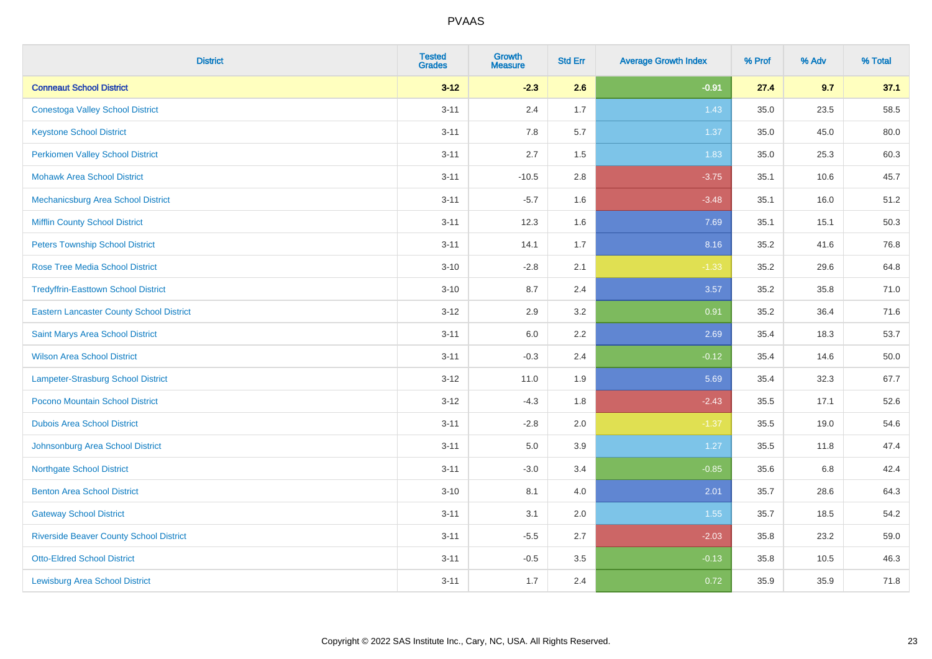| <b>District</b>                                 | <b>Tested</b><br><b>Grades</b> | <b>Growth</b><br><b>Measure</b> | <b>Std Err</b> | <b>Average Growth Index</b> | % Prof | % Adv | % Total |
|-------------------------------------------------|--------------------------------|---------------------------------|----------------|-----------------------------|--------|-------|---------|
| <b>Conneaut School District</b>                 | $3 - 12$                       | $-2.3$                          | 2.6            | $-0.91$                     | 27.4   | 9.7   | 37.1    |
| <b>Conestoga Valley School District</b>         | $3 - 11$                       | 2.4                             | 1.7            | 1.43                        | 35.0   | 23.5  | 58.5    |
| <b>Keystone School District</b>                 | $3 - 11$                       | 7.8                             | 5.7            | 1.37                        | 35.0   | 45.0  | 80.0    |
| <b>Perkiomen Valley School District</b>         | $3 - 11$                       | 2.7                             | 1.5            | 1.83                        | 35.0   | 25.3  | 60.3    |
| <b>Mohawk Area School District</b>              | $3 - 11$                       | $-10.5$                         | 2.8            | $-3.75$                     | 35.1   | 10.6  | 45.7    |
| Mechanicsburg Area School District              | $3 - 11$                       | $-5.7$                          | 1.6            | $-3.48$                     | 35.1   | 16.0  | 51.2    |
| <b>Mifflin County School District</b>           | $3 - 11$                       | 12.3                            | 1.6            | 7.69                        | 35.1   | 15.1  | 50.3    |
| <b>Peters Township School District</b>          | $3 - 11$                       | 14.1                            | 1.7            | 8.16                        | 35.2   | 41.6  | 76.8    |
| <b>Rose Tree Media School District</b>          | $3 - 10$                       | $-2.8$                          | 2.1            | $-1.33$                     | 35.2   | 29.6  | 64.8    |
| <b>Tredyffrin-Easttown School District</b>      | $3 - 10$                       | 8.7                             | 2.4            | 3.57                        | 35.2   | 35.8  | 71.0    |
| <b>Eastern Lancaster County School District</b> | $3 - 12$                       | 2.9                             | 3.2            | 0.91                        | 35.2   | 36.4  | 71.6    |
| Saint Marys Area School District                | $3 - 11$                       | $6.0\,$                         | 2.2            | 2.69                        | 35.4   | 18.3  | 53.7    |
| <b>Wilson Area School District</b>              | $3 - 11$                       | $-0.3$                          | 2.4            | $-0.12$                     | 35.4   | 14.6  | 50.0    |
| <b>Lampeter-Strasburg School District</b>       | $3 - 12$                       | 11.0                            | 1.9            | 5.69                        | 35.4   | 32.3  | 67.7    |
| Pocono Mountain School District                 | $3 - 12$                       | $-4.3$                          | 1.8            | $-2.43$                     | 35.5   | 17.1  | 52.6    |
| <b>Dubois Area School District</b>              | $3 - 11$                       | $-2.8$                          | 2.0            | $-1.37$                     | 35.5   | 19.0  | 54.6    |
| Johnsonburg Area School District                | $3 - 11$                       | 5.0                             | 3.9            | 1.27                        | 35.5   | 11.8  | 47.4    |
| <b>Northgate School District</b>                | $3 - 11$                       | $-3.0$                          | 3.4            | $-0.85$                     | 35.6   | 6.8   | 42.4    |
| <b>Benton Area School District</b>              | $3 - 10$                       | 8.1                             | 4.0            | 2.01                        | 35.7   | 28.6  | 64.3    |
| <b>Gateway School District</b>                  | $3 - 11$                       | 3.1                             | 2.0            | 1.55                        | 35.7   | 18.5  | 54.2    |
| <b>Riverside Beaver County School District</b>  | $3 - 11$                       | $-5.5$                          | 2.7            | $-2.03$                     | 35.8   | 23.2  | 59.0    |
| <b>Otto-Eldred School District</b>              | $3 - 11$                       | $-0.5$                          | 3.5            | $-0.13$                     | 35.8   | 10.5  | 46.3    |
| <b>Lewisburg Area School District</b>           | $3 - 11$                       | 1.7                             | 2.4            | 0.72                        | 35.9   | 35.9  | 71.8    |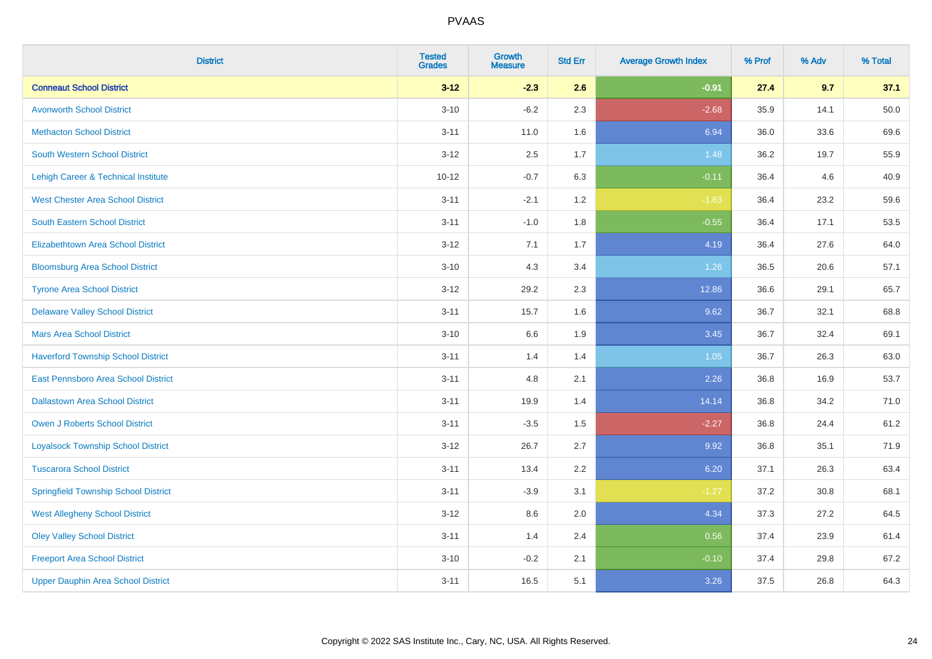| <b>District</b>                             | <b>Tested</b><br><b>Grades</b> | <b>Growth</b><br><b>Measure</b> | <b>Std Err</b> | <b>Average Growth Index</b> | % Prof | % Adv | % Total |
|---------------------------------------------|--------------------------------|---------------------------------|----------------|-----------------------------|--------|-------|---------|
| <b>Conneaut School District</b>             | $3 - 12$                       | $-2.3$                          | 2.6            | $-0.91$                     | 27.4   | 9.7   | 37.1    |
| <b>Avonworth School District</b>            | $3 - 10$                       | $-6.2$                          | 2.3            | $-2.68$                     | 35.9   | 14.1  | 50.0    |
| <b>Methacton School District</b>            | $3 - 11$                       | 11.0                            | 1.6            | 6.94                        | 36.0   | 33.6  | 69.6    |
| <b>South Western School District</b>        | $3 - 12$                       | 2.5                             | 1.7            | 1.48                        | 36.2   | 19.7  | 55.9    |
| Lehigh Career & Technical Institute         | $10 - 12$                      | $-0.7$                          | 6.3            | $-0.11$                     | 36.4   | 4.6   | 40.9    |
| <b>West Chester Area School District</b>    | $3 - 11$                       | $-2.1$                          | 1.2            | $-1.83$                     | 36.4   | 23.2  | 59.6    |
| <b>South Eastern School District</b>        | $3 - 11$                       | $-1.0$                          | 1.8            | $-0.55$                     | 36.4   | 17.1  | 53.5    |
| <b>Elizabethtown Area School District</b>   | $3 - 12$                       | 7.1                             | 1.7            | 4.19                        | 36.4   | 27.6  | 64.0    |
| <b>Bloomsburg Area School District</b>      | $3 - 10$                       | 4.3                             | 3.4            | 1.26                        | 36.5   | 20.6  | 57.1    |
| <b>Tyrone Area School District</b>          | $3 - 12$                       | 29.2                            | 2.3            | 12.86                       | 36.6   | 29.1  | 65.7    |
| <b>Delaware Valley School District</b>      | $3 - 11$                       | 15.7                            | 1.6            | 9.62                        | 36.7   | 32.1  | 68.8    |
| <b>Mars Area School District</b>            | $3 - 10$                       | 6.6                             | 1.9            | 3.45                        | 36.7   | 32.4  | 69.1    |
| <b>Haverford Township School District</b>   | $3 - 11$                       | 1.4                             | 1.4            | 1.05                        | 36.7   | 26.3  | 63.0    |
| East Pennsboro Area School District         | $3 - 11$                       | 4.8                             | 2.1            | 2.26                        | 36.8   | 16.9  | 53.7    |
| <b>Dallastown Area School District</b>      | $3 - 11$                       | 19.9                            | 1.4            | 14.14                       | 36.8   | 34.2  | 71.0    |
| <b>Owen J Roberts School District</b>       | $3 - 11$                       | $-3.5$                          | 1.5            | $-2.27$                     | 36.8   | 24.4  | 61.2    |
| <b>Loyalsock Township School District</b>   | $3 - 12$                       | 26.7                            | 2.7            | 9.92                        | 36.8   | 35.1  | 71.9    |
| <b>Tuscarora School District</b>            | $3 - 11$                       | 13.4                            | 2.2            | 6.20                        | 37.1   | 26.3  | 63.4    |
| <b>Springfield Township School District</b> | $3 - 11$                       | $-3.9$                          | 3.1            | $-1.27$                     | 37.2   | 30.8  | 68.1    |
| <b>West Allegheny School District</b>       | $3 - 12$                       | 8.6                             | 2.0            | 4.34                        | 37.3   | 27.2  | 64.5    |
| <b>Oley Valley School District</b>          | $3 - 11$                       | 1.4                             | 2.4            | 0.56                        | 37.4   | 23.9  | 61.4    |
| <b>Freeport Area School District</b>        | $3 - 10$                       | $-0.2$                          | 2.1            | $-0.10$                     | 37.4   | 29.8  | 67.2    |
| <b>Upper Dauphin Area School District</b>   | $3 - 11$                       | 16.5                            | 5.1            | 3.26                        | 37.5   | 26.8  | 64.3    |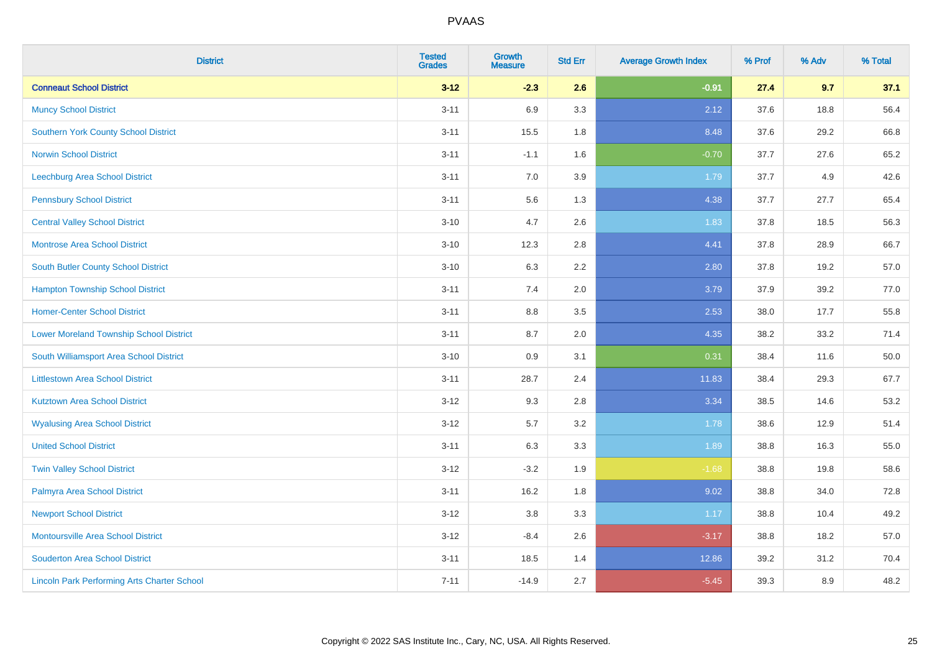| <b>District</b>                                    | <b>Tested</b><br><b>Grades</b> | <b>Growth</b><br><b>Measure</b> | <b>Std Err</b> | <b>Average Growth Index</b> | % Prof | % Adv | % Total |
|----------------------------------------------------|--------------------------------|---------------------------------|----------------|-----------------------------|--------|-------|---------|
| <b>Conneaut School District</b>                    | $3 - 12$                       | $-2.3$                          | 2.6            | $-0.91$                     | 27.4   | 9.7   | 37.1    |
| <b>Muncy School District</b>                       | $3 - 11$                       | 6.9                             | 3.3            | 2.12                        | 37.6   | 18.8  | 56.4    |
| <b>Southern York County School District</b>        | $3 - 11$                       | 15.5                            | 1.8            | 8.48                        | 37.6   | 29.2  | 66.8    |
| <b>Norwin School District</b>                      | $3 - 11$                       | $-1.1$                          | 1.6            | $-0.70$                     | 37.7   | 27.6  | 65.2    |
| Leechburg Area School District                     | $3 - 11$                       | 7.0                             | 3.9            | 1.79                        | 37.7   | 4.9   | 42.6    |
| <b>Pennsbury School District</b>                   | $3 - 11$                       | 5.6                             | 1.3            | 4.38                        | 37.7   | 27.7  | 65.4    |
| <b>Central Valley School District</b>              | $3 - 10$                       | 4.7                             | 2.6            | 1.83                        | 37.8   | 18.5  | 56.3    |
| <b>Montrose Area School District</b>               | $3 - 10$                       | 12.3                            | 2.8            | 4.41                        | 37.8   | 28.9  | 66.7    |
| <b>South Butler County School District</b>         | $3 - 10$                       | 6.3                             | 2.2            | 2.80                        | 37.8   | 19.2  | 57.0    |
| <b>Hampton Township School District</b>            | $3 - 11$                       | 7.4                             | 2.0            | 3.79                        | 37.9   | 39.2  | 77.0    |
| <b>Homer-Center School District</b>                | $3 - 11$                       | 8.8                             | 3.5            | 2.53                        | 38.0   | 17.7  | 55.8    |
| <b>Lower Moreland Township School District</b>     | $3 - 11$                       | 8.7                             | 2.0            | 4.35                        | 38.2   | 33.2  | 71.4    |
| South Williamsport Area School District            | $3 - 10$                       | 0.9                             | 3.1            | 0.31                        | 38.4   | 11.6  | 50.0    |
| <b>Littlestown Area School District</b>            | $3 - 11$                       | 28.7                            | 2.4            | 11.83                       | 38.4   | 29.3  | 67.7    |
| <b>Kutztown Area School District</b>               | $3 - 12$                       | 9.3                             | 2.8            | 3.34                        | 38.5   | 14.6  | 53.2    |
| <b>Wyalusing Area School District</b>              | $3 - 12$                       | 5.7                             | 3.2            | 1.78                        | 38.6   | 12.9  | 51.4    |
| <b>United School District</b>                      | $3 - 11$                       | 6.3                             | 3.3            | 1.89                        | 38.8   | 16.3  | 55.0    |
| <b>Twin Valley School District</b>                 | $3 - 12$                       | $-3.2$                          | 1.9            | $-1.68$                     | 38.8   | 19.8  | 58.6    |
| Palmyra Area School District                       | $3 - 11$                       | 16.2                            | 1.8            | 9.02                        | 38.8   | 34.0  | 72.8    |
| <b>Newport School District</b>                     | $3 - 12$                       | 3.8                             | 3.3            | 1.17                        | 38.8   | 10.4  | 49.2    |
| <b>Montoursville Area School District</b>          | $3-12$                         | $-8.4$                          | 2.6            | $-3.17$                     | 38.8   | 18.2  | 57.0    |
| <b>Souderton Area School District</b>              | $3 - 11$                       | 18.5                            | 1.4            | 12.86                       | 39.2   | 31.2  | 70.4    |
| <b>Lincoln Park Performing Arts Charter School</b> | $7 - 11$                       | $-14.9$                         | 2.7            | $-5.45$                     | 39.3   | 8.9   | 48.2    |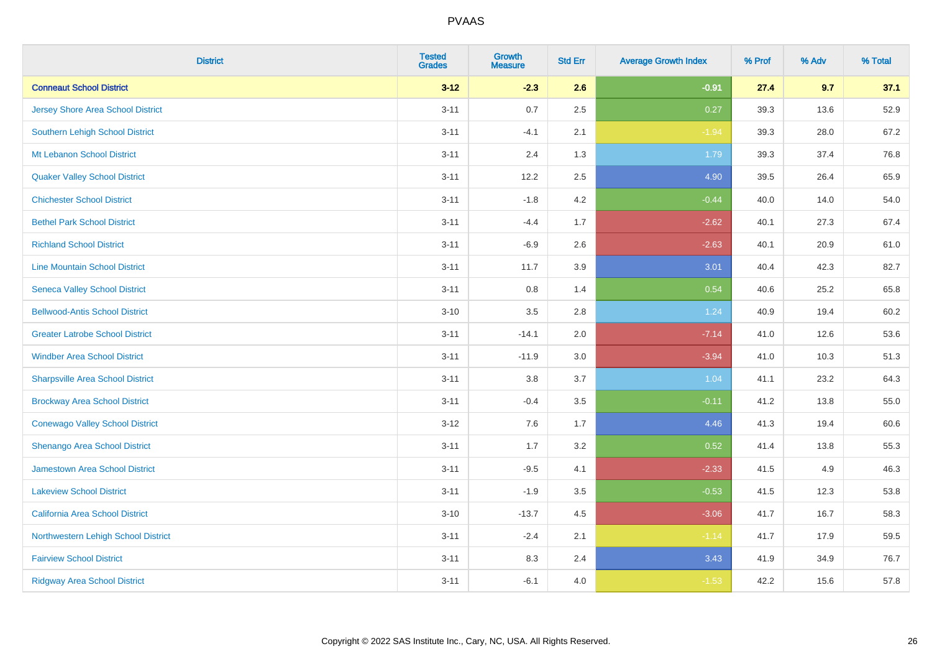| <b>District</b>                         | <b>Tested</b><br><b>Grades</b> | <b>Growth</b><br><b>Measure</b> | <b>Std Err</b> | <b>Average Growth Index</b> | % Prof | % Adv | % Total |
|-----------------------------------------|--------------------------------|---------------------------------|----------------|-----------------------------|--------|-------|---------|
| <b>Conneaut School District</b>         | $3 - 12$                       | $-2.3$                          | 2.6            | $-0.91$                     | 27.4   | 9.7   | 37.1    |
| Jersey Shore Area School District       | $3 - 11$                       | 0.7                             | 2.5            | 0.27                        | 39.3   | 13.6  | 52.9    |
| Southern Lehigh School District         | $3 - 11$                       | $-4.1$                          | 2.1            | $-1.94$                     | 39.3   | 28.0  | 67.2    |
| Mt Lebanon School District              | $3 - 11$                       | 2.4                             | 1.3            | 1.79                        | 39.3   | 37.4  | 76.8    |
| <b>Quaker Valley School District</b>    | $3 - 11$                       | 12.2                            | 2.5            | 4.90                        | 39.5   | 26.4  | 65.9    |
| <b>Chichester School District</b>       | $3 - 11$                       | $-1.8$                          | 4.2            | $-0.44$                     | 40.0   | 14.0  | 54.0    |
| <b>Bethel Park School District</b>      | $3 - 11$                       | $-4.4$                          | 1.7            | $-2.62$                     | 40.1   | 27.3  | 67.4    |
| <b>Richland School District</b>         | $3 - 11$                       | $-6.9$                          | 2.6            | $-2.63$                     | 40.1   | 20.9  | 61.0    |
| <b>Line Mountain School District</b>    | $3 - 11$                       | 11.7                            | 3.9            | 3.01                        | 40.4   | 42.3  | 82.7    |
| <b>Seneca Valley School District</b>    | $3 - 11$                       | 0.8                             | 1.4            | 0.54                        | 40.6   | 25.2  | 65.8    |
| <b>Bellwood-Antis School District</b>   | $3 - 10$                       | 3.5                             | 2.8            | 1.24                        | 40.9   | 19.4  | 60.2    |
| <b>Greater Latrobe School District</b>  | $3 - 11$                       | $-14.1$                         | 2.0            | $-7.14$                     | 41.0   | 12.6  | 53.6    |
| <b>Windber Area School District</b>     | $3 - 11$                       | $-11.9$                         | 3.0            | $-3.94$                     | 41.0   | 10.3  | 51.3    |
| <b>Sharpsville Area School District</b> | $3 - 11$                       | $3.8\,$                         | 3.7            | 1.04                        | 41.1   | 23.2  | 64.3    |
| <b>Brockway Area School District</b>    | $3 - 11$                       | $-0.4$                          | 3.5            | $-0.11$                     | 41.2   | 13.8  | 55.0    |
| <b>Conewago Valley School District</b>  | $3 - 12$                       | 7.6                             | 1.7            | 4.46                        | 41.3   | 19.4  | 60.6    |
| Shenango Area School District           | $3 - 11$                       | 1.7                             | 3.2            | 0.52                        | 41.4   | 13.8  | 55.3    |
| Jamestown Area School District          | $3 - 11$                       | $-9.5$                          | 4.1            | $-2.33$                     | 41.5   | 4.9   | 46.3    |
| <b>Lakeview School District</b>         | $3 - 11$                       | $-1.9$                          | 3.5            | $-0.53$                     | 41.5   | 12.3  | 53.8    |
| California Area School District         | $3 - 10$                       | $-13.7$                         | 4.5            | $-3.06$                     | 41.7   | 16.7  | 58.3    |
| Northwestern Lehigh School District     | $3 - 11$                       | $-2.4$                          | 2.1            | $-1.14$                     | 41.7   | 17.9  | 59.5    |
| <b>Fairview School District</b>         | $3 - 11$                       | 8.3                             | 2.4            | 3.43                        | 41.9   | 34.9  | 76.7    |
| <b>Ridgway Area School District</b>     | $3 - 11$                       | $-6.1$                          | 4.0            | $-1.53$                     | 42.2   | 15.6  | 57.8    |